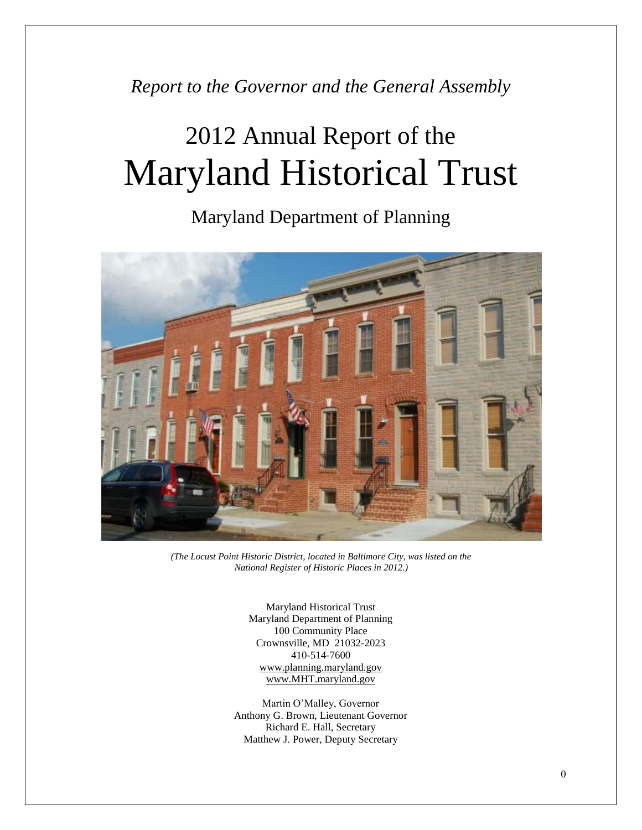*Report to the Governor and the General Assembly*

# 2012 Annual Report of the Maryland Historical Trust

Maryland Department of Planning



*(The Locust Point Historic District, located in Baltimore City, was listed on the National Register of Historic Places in 2012.)*

Maryland Historical Trust Maryland Department of Planning 100 Community Place Crownsville, MD 21032-2023 410-514-7600 [www.planning.maryland.gov](http://www.planning.maryland.gov/) [www.MHT.maryland.gov](http://www.mht.maryland.gov/)

Martin O'Malley, Governor Anthony G. Brown, Lieutenant Governor Richard E. Hall, Secretary Matthew J. Power, Deputy Secretary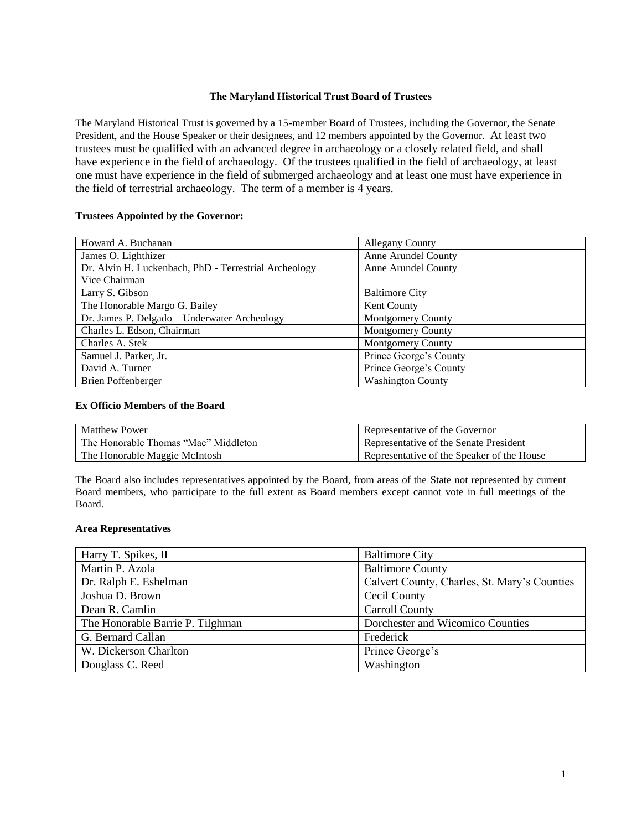#### **The Maryland Historical Trust Board of Trustees**

The Maryland Historical Trust is governed by a 15-member Board of Trustees, including the Governor, the Senate President, and the House Speaker or their designees, and 12 members appointed by the Governor. At least two trustees must be qualified with an advanced degree in archaeology or a closely related field, and shall have experience in the field of archaeology. Of the trustees qualified in the field of archaeology, at least one must have experience in the field of submerged archaeology and at least one must have experience in the field of terrestrial archaeology. The term of a member is 4 years.

#### **Trustees Appointed by the Governor:**

| Howard A. Buchanan                                    | <b>Allegany County</b>   |
|-------------------------------------------------------|--------------------------|
| James O. Lighthizer                                   | Anne Arundel County      |
| Dr. Alvin H. Luckenbach, PhD - Terrestrial Archeology | Anne Arundel County      |
| Vice Chairman                                         |                          |
| Larry S. Gibson                                       | <b>Baltimore City</b>    |
| The Honorable Margo G. Bailey                         | Kent County              |
| Dr. James P. Delgado - Underwater Archeology          | <b>Montgomery County</b> |
| Charles L. Edson, Chairman                            | Montgomery County        |
| Charles A. Stek                                       | Montgomery County        |
| Samuel J. Parker, Jr.                                 | Prince George's County   |
| David A. Turner                                       | Prince George's County   |
| <b>Brien Poffenberger</b>                             | <b>Washington County</b> |

#### **Ex Officio Members of the Board**

| <b>Matthew Power</b>                 | Representative of the Governor             |
|--------------------------------------|--------------------------------------------|
| The Honorable Thomas "Mac" Middleton | Representative of the Senate President     |
| The Honorable Maggie McIntosh        | Representative of the Speaker of the House |

The Board also includes representatives appointed by the Board, from areas of the State not represented by current Board members, who participate to the full extent as Board members except cannot vote in full meetings of the Board.

#### **Area Representatives**

| Harry T. Spikes, II              | <b>Baltimore City</b>                        |
|----------------------------------|----------------------------------------------|
| Martin P. Azola                  | <b>Baltimore County</b>                      |
| Dr. Ralph E. Eshelman            | Calvert County, Charles, St. Mary's Counties |
| Joshua D. Brown                  | Cecil County                                 |
| Dean R. Camlin                   | <b>Carroll County</b>                        |
| The Honorable Barrie P. Tilghman | Dorchester and Wicomico Counties             |
| G. Bernard Callan                | Frederick                                    |
| W. Dickerson Charlton            | Prince George's                              |
| Douglass C. Reed                 | Washington                                   |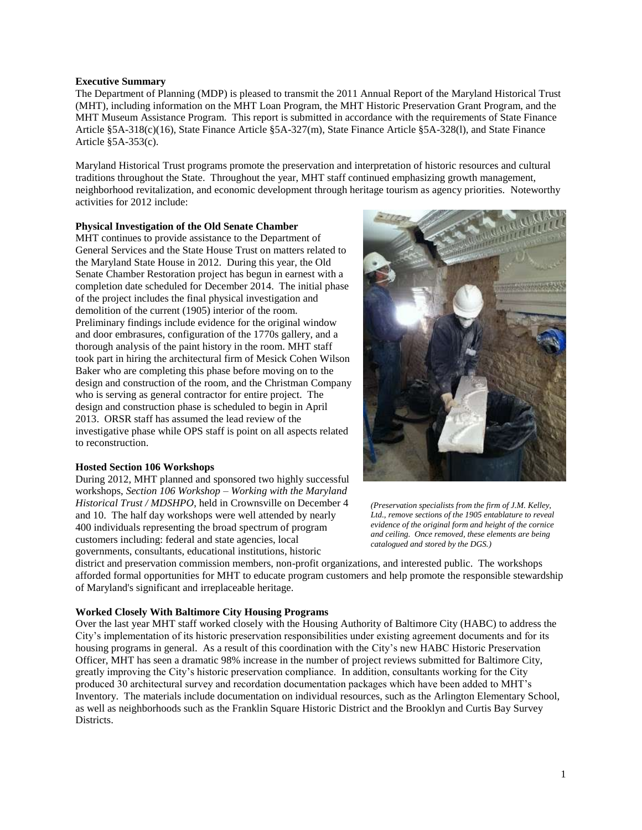#### **Executive Summary**

The Department of Planning (MDP) is pleased to transmit the 2011 Annual Report of the Maryland Historical Trust (MHT), including information on the MHT Loan Program, the MHT Historic Preservation Grant Program, and the MHT Museum Assistance Program. This report is submitted in accordance with the requirements of State Finance Article §5A-318(c)(16), State Finance Article §5A-327(m), State Finance Article §5A-328(l), and State Finance Article §5A-353(c).

Maryland Historical Trust programs promote the preservation and interpretation of historic resources and cultural traditions throughout the State. Throughout the year, MHT staff continued emphasizing growth management, neighborhood revitalization, and economic development through heritage tourism as agency priorities. Noteworthy activities for 2012 include:

#### **Physical Investigation of the Old Senate Chamber**

MHT continues to provide assistance to the Department of General Services and the State House Trust on matters related to the Maryland State House in 2012. During this year, the Old Senate Chamber Restoration project has begun in earnest with a completion date scheduled for December 2014. The initial phase of the project includes the final physical investigation and demolition of the current (1905) interior of the room. Preliminary findings include evidence for the original window and door embrasures, configuration of the 1770s gallery, and a thorough analysis of the paint history in the room. MHT staff took part in hiring the architectural firm of Mesick Cohen Wilson Baker who are completing this phase before moving on to the design and construction of the room, and the Christman Company who is serving as general contractor for entire project. The design and construction phase is scheduled to begin in April 2013. ORSR staff has assumed the lead review of the investigative phase while OPS staff is point on all aspects related to reconstruction.

## **Hosted Section 106 Workshops**

During 2012, MHT planned and sponsored two highly successful workshops, *Section 106 Workshop – Working with the Maryland Historical Trust / MDSHPO*, held in Crownsville on December 4 and 10. The half day workshops were well attended by nearly 400 individuals representing the broad spectrum of program customers including: federal and state agencies, local governments, consultants, educational institutions, historic



*(Preservation specialists from the firm of J.M. Kelley, Ltd., remove sections of the 1905 entablature to reveal evidence of the original form and height of the cornice and ceiling. Once removed, these elements are being catalogued and stored by the DGS.)*

district and preservation commission members, non-profit organizations, and interested public. The workshops afforded formal opportunities for MHT to educate program customers and help promote the responsible stewardship of Maryland's significant and irreplaceable heritage.

## **Worked Closely With Baltimore City Housing Programs**

Over the last year MHT staff worked closely with the Housing Authority of Baltimore City (HABC) to address the City's implementation of its historic preservation responsibilities under existing agreement documents and for its housing programs in general. As a result of this coordination with the City's new HABC Historic Preservation Officer, MHT has seen a dramatic 98% increase in the number of project reviews submitted for Baltimore City, greatly improving the City's historic preservation compliance. In addition, consultants working for the City produced 30 architectural survey and recordation documentation packages which have been added to MHT's Inventory. The materials include documentation on individual resources, such as the Arlington Elementary School, as well as neighborhoods such as the Franklin Square Historic District and the Brooklyn and Curtis Bay Survey Districts.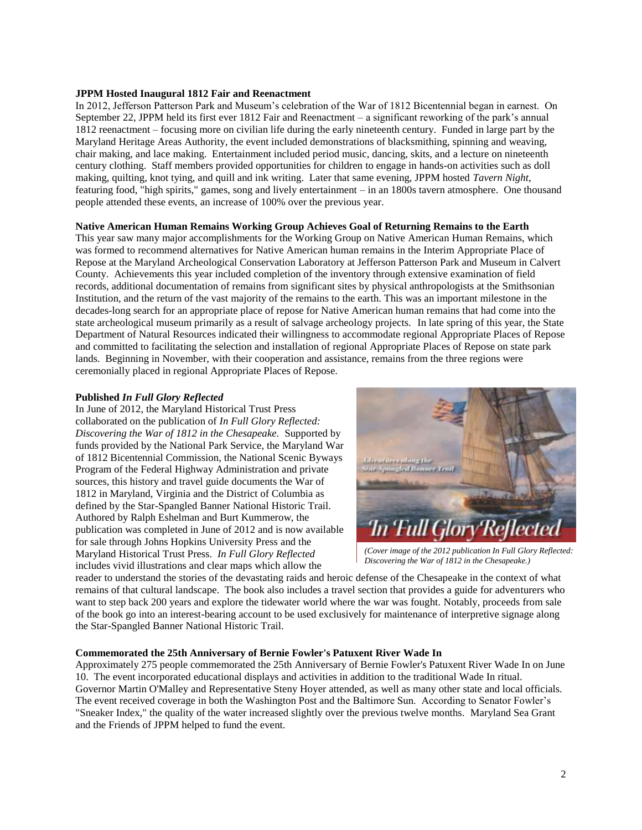#### **JPPM Hosted Inaugural 1812 Fair and Reenactment**

In 2012, Jefferson Patterson Park and Museum's celebration of the War of 1812 Bicentennial began in earnest. On September 22, JPPM held its first ever 1812 Fair and Reenactment – a significant reworking of the park's annual 1812 reenactment – focusing more on civilian life during the early nineteenth century. Funded in large part by the Maryland Heritage Areas Authority, the event included demonstrations of blacksmithing, spinning and weaving, chair making, and lace making. Entertainment included period music, dancing, skits, and a lecture on nineteenth century clothing. Staff members provided opportunities for children to engage in hands-on activities such as doll making, quilting, knot tying, and quill and ink writing. Later that same evening, JPPM hosted *Tavern Night*, featuring food, "high spirits," games, song and lively entertainment – in an 1800s tavern atmosphere. One thousand people attended these events, an increase of 100% over the previous year.

#### **Native American Human Remains Working Group Achieves Goal of Returning Remains to the Earth**

This year saw many major accomplishments for the Working Group on Native American Human Remains, which was formed to recommend alternatives for Native American human remains in the Interim Appropriate Place of Repose at the Maryland Archeological Conservation Laboratory at Jefferson Patterson Park and Museum in Calvert County. Achievements this year included completion of the inventory through extensive examination of field records, additional documentation of remains from significant sites by physical anthropologists at the Smithsonian Institution, and the return of the vast majority of the remains to the earth. This was an important milestone in the decades-long search for an appropriate place of repose for Native American human remains that had come into the state archeological museum primarily as a result of salvage archeology projects. In late spring of this year, the State Department of Natural Resources indicated their willingness to accommodate regional Appropriate Places of Repose and committed to facilitating the selection and installation of regional Appropriate Places of Repose on state park lands. Beginning in November, with their cooperation and assistance, remains from the three regions were ceremonially placed in regional Appropriate Places of Repose.

## **Published** *In Full Glory Reflected*

In June of 2012, the Maryland Historical Trust Press collaborated on the publication of *In Full Glory Reflected: Discovering the War of 1812 in the Chesapeake.* Supported by funds provided by the National Park Service, the Maryland War of 1812 Bicentennial Commission, the National Scenic Byways Program of the Federal Highway Administration and private sources, this history and travel guide documents the War of 1812 in Maryland, Virginia and the District of Columbia as defined by the Star-Spangled Banner National Historic Trail. Authored by Ralph Eshelman and Burt Kummerow, the publication was completed in June of 2012 and is now available for sale through Johns Hopkins University Press and the Maryland Historical Trust Press. *In Full Glory Reflected* includes vivid illustrations and clear maps which allow the



*(Cover image of the 2012 publication In Full Glory Reflected: Discovering the War of 1812 in the Chesapeake.)*

reader to understand the stories of the devastating raids and heroic defense of the Chesapeake in the context of what remains of that cultural landscape. The book also includes a travel section that provides a guide for adventurers who want to step back 200 years and explore the tidewater world where the war was fought. Notably, proceeds from sale of the book go into an interest-bearing account to be used exclusively for maintenance of interpretive signage along the Star-Spangled Banner National Historic Trail.

## **Commemorated the 25th Anniversary of Bernie Fowler's Patuxent River Wade In**

Approximately 275 people commemorated the 25th Anniversary of Bernie Fowler's Patuxent River Wade In on June 10. The event incorporated educational displays and activities in addition to the traditional Wade In ritual. Governor Martin O'Malley and Representative Steny Hoyer attended, as well as many other state and local officials. The event received coverage in both the Washington Post and the Baltimore Sun. According to Senator Fowler's "Sneaker Index," the quality of the water increased slightly over the previous twelve months. Maryland Sea Grant and the Friends of JPPM helped to fund the event.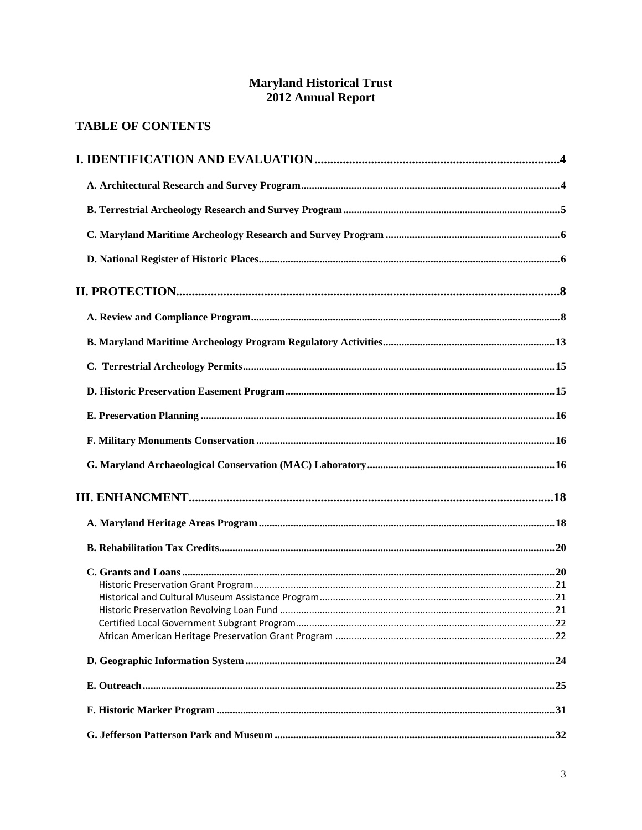## **Maryland Historical Trust<br>2012 Annual Report**

## **TABLE OF CONTENTS**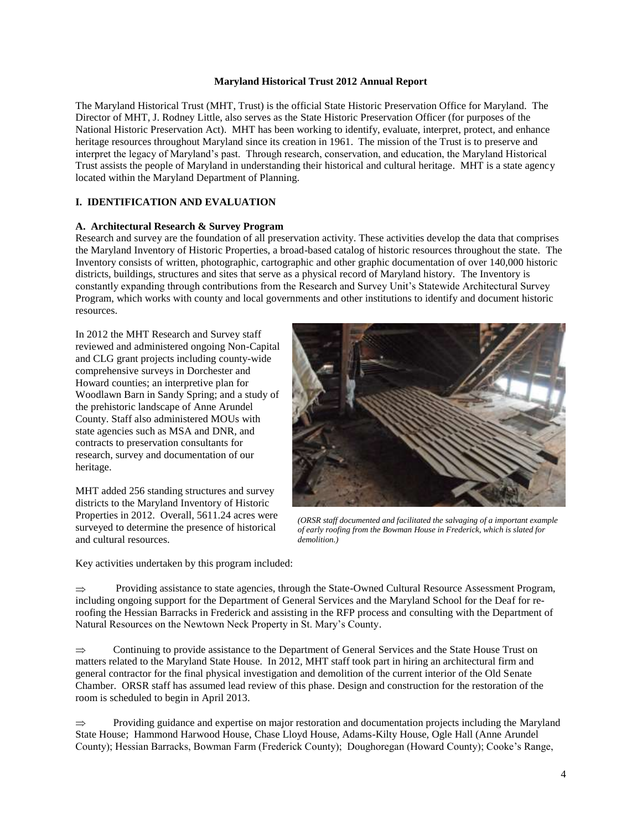#### **Maryland Historical Trust 2012 Annual Report**

The Maryland Historical Trust (MHT, Trust) is the official State Historic Preservation Office for Maryland. The Director of MHT, J. Rodney Little, also serves as the State Historic Preservation Officer (for purposes of the National Historic Preservation Act). MHT has been working to identify, evaluate, interpret, protect, and enhance heritage resources throughout Maryland since its creation in 1961. The mission of the Trust is to preserve and interpret the legacy of Maryland's past. Through research, conservation, and education, the Maryland Historical Trust assists the people of Maryland in understanding their historical and cultural heritage. MHT is a state agency located within the Maryland Department of Planning.

## **I. IDENTIFICATION AND EVALUATION**

## **A. Architectural Research & Survey Program**

Research and survey are the foundation of all preservation activity. These activities develop the data that comprises the Maryland Inventory of Historic Properties, a broad-based catalog of historic resources throughout the state. The Inventory consists of written, photographic, cartographic and other graphic documentation of over 140,000 historic districts, buildings, structures and sites that serve as a physical record of Maryland history. The Inventory is constantly expanding through contributions from the Research and Survey Unit's Statewide Architectural Survey Program, which works with county and local governments and other institutions to identify and document historic resources.

In 2012 the MHT Research and Survey staff reviewed and administered ongoing Non-Capital and CLG grant projects including county-wide comprehensive surveys in Dorchester and Howard counties; an interpretive plan for Woodlawn Barn in Sandy Spring; and a study of the prehistoric landscape of Anne Arundel County. Staff also administered MOUs with state agencies such as MSA and DNR, and contracts to preservation consultants for research, survey and documentation of our heritage.

MHT added 256 standing structures and survey districts to the Maryland Inventory of Historic Properties in 2012. Overall, 5611.24 acres were surveyed to determine the presence of historical and cultural resources.

Key activities undertaken by this program included:



*(ORSR staff documented and facilitated the salvaging of a important example of early roofing from the Bowman House in Frederick, which is slated for demolition.)*

Providing assistance to state agencies, through the State-Owned Cultural Resource Assessment Program,  $\Rightarrow$ including ongoing support for the Department of General Services and the Maryland School for the Deaf for reroofing the Hessian Barracks in Frederick and assisting in the RFP process and consulting with the Department of Natural Resources on the Newtown Neck Property in St. Mary's County.

 $\Rightarrow$ Continuing to provide assistance to the Department of General Services and the State House Trust on matters related to the Maryland State House. In 2012, MHT staff took part in hiring an architectural firm and general contractor for the final physical investigation and demolition of the current interior of the Old Senate Chamber. ORSR staff has assumed lead review of this phase. Design and construction for the restoration of the room is scheduled to begin in April 2013.

Providing guidance and expertise on major restoration and documentation projects including the Maryland  $\Rightarrow$ State House; Hammond Harwood House, Chase Lloyd House, Adams-Kilty House, Ogle Hall (Anne Arundel County); Hessian Barracks, Bowman Farm (Frederick County); Doughoregan (Howard County); Cooke's Range,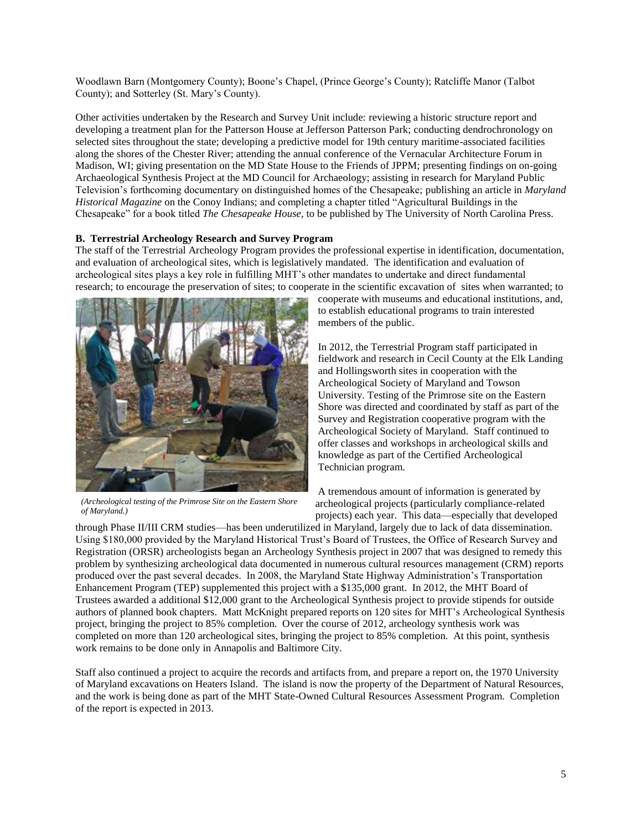Woodlawn Barn (Montgomery County); Boone's Chapel, (Prince George's County); Ratcliffe Manor (Talbot County); and Sotterley (St. Mary's County).

Other activities undertaken by the Research and Survey Unit include: reviewing a historic structure report and developing a treatment plan for the Patterson House at Jefferson Patterson Park; conducting dendrochronology on selected sites throughout the state; developing a predictive model for 19th century maritime-associated facilities along the shores of the Chester River; attending the annual conference of the Vernacular Architecture Forum in Madison, WI; giving presentation on the MD State House to the Friends of JPPM; presenting findings on on-going Archaeological Synthesis Project at the MD Council for Archaeology; assisting in research for Maryland Public Television's forthcoming documentary on distinguished homes of the Chesapeake; publishing an article in *Maryland Historical Magazine* on the Conoy Indians; and completing a chapter titled "Agricultural Buildings in the Chesapeake" for a book titled *The Chesapeake House,* to be published by The University of North Carolina Press.

#### **B. Terrestrial Archeology Research and Survey Program**

The staff of the Terrestrial Archeology Program provides the professional expertise in identification, documentation, and evaluation of archeological sites, which is legislatively mandated. The identification and evaluation of archeological sites plays a key role in fulfilling MHT's other mandates to undertake and direct fundamental research; to encourage the preservation of sites; to cooperate in the scientific excavation of sites when warranted; to



*(Archeological testing of the Primrose Site on the Eastern Shore of Maryland.)*

cooperate with museums and educational institutions, and, to establish educational programs to train interested members of the public.

In 2012, the Terrestrial Program staff participated in fieldwork and research in Cecil County at the Elk Landing and Hollingsworth sites in cooperation with the Archeological Society of Maryland and Towson University. Testing of the Primrose site on the Eastern Shore was directed and coordinated by staff as part of the Survey and Registration cooperative program with the Archeological Society of Maryland. Staff continued to offer classes and workshops in archeological skills and knowledge as part of the Certified Archeological Technician program.

A tremendous amount of information is generated by archeological projects (particularly compliance-related projects) each year. This data—especially that developed

through Phase II/III CRM studies—has been underutilized in Maryland, largely due to lack of data dissemination. Using \$180,000 provided by the Maryland Historical Trust's Board of Trustees, the Office of Research Survey and Registration (ORSR) archeologists began an Archeology Synthesis project in 2007 that was designed to remedy this problem by synthesizing archeological data documented in numerous cultural resources management (CRM) reports produced over the past several decades. In 2008, the Maryland State Highway Administration's Transportation Enhancement Program (TEP) supplemented this project with a \$135,000 grant. In 2012, the MHT Board of Trustees awarded a additional \$12,000 grant to the Archeological Synthesis project to provide stipends for outside authors of planned book chapters. Matt McKnight prepared reports on 120 sites for MHT's Archeological Synthesis project, bringing the project to 85% completion. Over the course of 2012, archeology synthesis work was completed on more than 120 archeological sites, bringing the project to 85% completion. At this point, synthesis work remains to be done only in Annapolis and Baltimore City.

Staff also continued a project to acquire the records and artifacts from, and prepare a report on, the 1970 University of Maryland excavations on Heaters Island. The island is now the property of the Department of Natural Resources, and the work is being done as part of the MHT State-Owned Cultural Resources Assessment Program. Completion of the report is expected in 2013.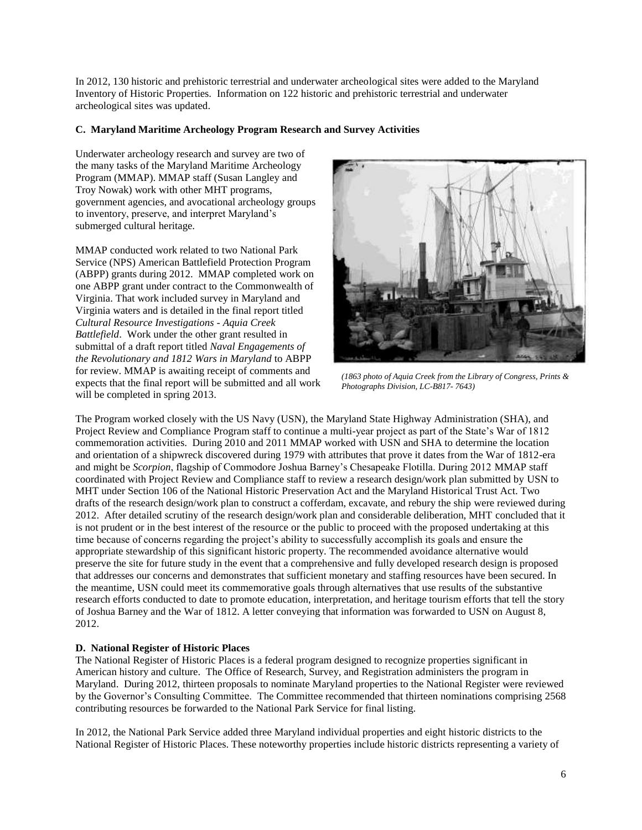In 2012, 130 historic and prehistoric terrestrial and underwater archeological sites were added to the Maryland Inventory of Historic Properties. Information on 122 historic and prehistoric terrestrial and underwater archeological sites was updated.

## **C. Maryland Maritime Archeology Program Research and Survey Activities**

Underwater archeology research and survey are two of the many tasks of the Maryland Maritime Archeology Program (MMAP). MMAP staff (Susan Langley and Troy Nowak) work with other MHT programs, government agencies, and avocational archeology groups to inventory, preserve, and interpret Maryland's submerged cultural heritage.

MMAP conducted work related to two National Park Service (NPS) American Battlefield Protection Program (ABPP) grants during 2012. MMAP completed work on one ABPP grant under contract to the Commonwealth of Virginia. That work included survey in Maryland and Virginia waters and is detailed in the final report titled *Cultural Resource Investigations - Aquia Creek Battlefield*. Work under the other grant resulted in submittal of a draft report titled *Naval Engagements of the Revolutionary and 1812 Wars in Maryland* to ABPP for review. MMAP is awaiting receipt of comments and expects that the final report will be submitted and all work will be completed in spring 2013.



*(1863 photo of Aquia Creek from the Library of Congress, Prints & Photographs Division, LC-B817- 7643)*

The Program worked closely with the US Navy (USN), the Maryland State Highway Administration (SHA), and Project Review and Compliance Program staff to continue a multi-year project as part of the State's War of 1812 commemoration activities. During 2010 and 2011 MMAP worked with USN and SHA to determine the location and orientation of a shipwreck discovered during 1979 with attributes that prove it dates from the War of 1812-era and might be *Scorpion*, flagship of Commodore Joshua Barney's Chesapeake Flotilla. During 2012 MMAP staff coordinated with Project Review and Compliance staff to review a research design/work plan submitted by USN to MHT under Section 106 of the National Historic Preservation Act and the Maryland Historical Trust Act. Two drafts of the research design/work plan to construct a cofferdam, excavate, and rebury the ship were reviewed during 2012. After detailed scrutiny of the research design/work plan and considerable deliberation, MHT concluded that it is not prudent or in the best interest of the resource or the public to proceed with the proposed undertaking at this time because of concerns regarding the project's ability to successfully accomplish its goals and ensure the appropriate stewardship of this significant historic property. The recommended avoidance alternative would preserve the site for future study in the event that a comprehensive and fully developed research design is proposed that addresses our concerns and demonstrates that sufficient monetary and staffing resources have been secured. In the meantime, USN could meet its commemorative goals through alternatives that use results of the substantive research efforts conducted to date to promote education, interpretation, and heritage tourism efforts that tell the story of Joshua Barney and the War of 1812. A letter conveying that information was forwarded to USN on August 8, 2012.

## **D. National Register of Historic Places**

The National Register of Historic Places is a federal program designed to recognize properties significant in American history and culture. The Office of Research, Survey, and Registration administers the program in Maryland. During 2012, thirteen proposals to nominate Maryland properties to the National Register were reviewed by the Governor's Consulting Committee. The Committee recommended that thirteen nominations comprising 2568 contributing resources be forwarded to the National Park Service for final listing.

In 2012, the National Park Service added three Maryland individual properties and eight historic districts to the National Register of Historic Places. These noteworthy properties include historic districts representing a variety of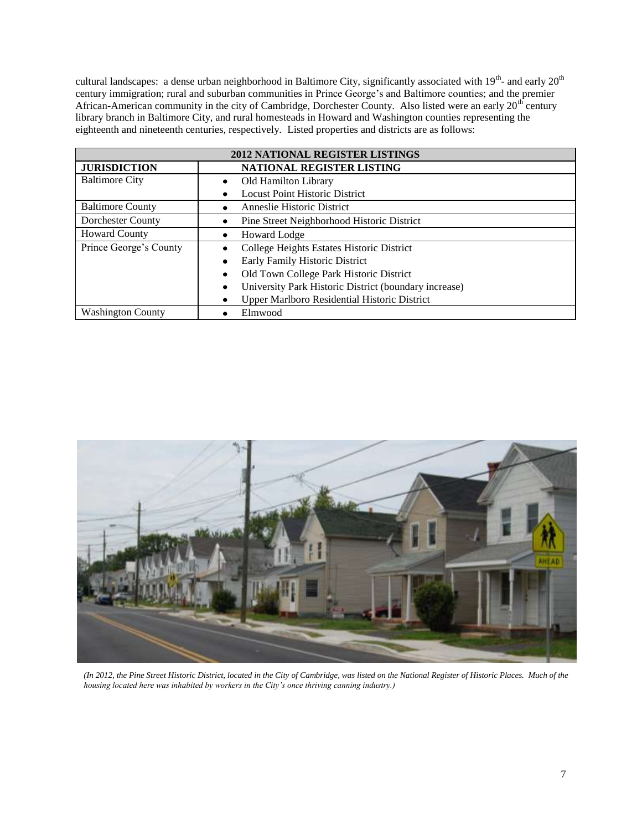cultural landscapes: a dense urban neighborhood in Baltimore City, significantly associated with  $19^{th}$ - and early  $20^{th}$ century immigration; rural and suburban communities in Prince George's and Baltimore counties; and the premier African-American community in the city of Cambridge, Dorchester County. Also listed were an early 20<sup>th</sup> century library branch in Baltimore City, and rural homesteads in Howard and Washington counties representing the eighteenth and nineteenth centuries, respectively. Listed properties and districts are as follows:

| <b>2012 NATIONAL REGISTER LISTINGS</b>                     |                                                          |  |  |
|------------------------------------------------------------|----------------------------------------------------------|--|--|
| <b>JURISDICTION</b>                                        | NATIONAL REGISTER LISTING                                |  |  |
| <b>Baltimore City</b>                                      | Old Hamilton Library<br>٠                                |  |  |
|                                                            | <b>Locust Point Historic District</b><br>٠               |  |  |
| <b>Baltimore County</b>                                    | Anneslie Historic District<br>٠                          |  |  |
| Dorchester County                                          | Pine Street Neighborhood Historic District<br>٠          |  |  |
| <b>Howard County</b>                                       | Howard Lodge<br>٠                                        |  |  |
| Prince George's County                                     | College Heights Estates Historic District                |  |  |
|                                                            | Early Family Historic District<br>٠                      |  |  |
|                                                            | Old Town College Park Historic District<br>٠             |  |  |
| University Park Historic District (boundary increase)<br>٠ |                                                          |  |  |
|                                                            | <b>Upper Marlboro Residential Historic District</b><br>٠ |  |  |
| <b>Washington County</b>                                   | Elmwood                                                  |  |  |



*(In 2012, the Pine Street Historic District, located in the City of Cambridge, was listed on the National Register of Historic Places. Much of the housing located here was inhabited by workers in the City's once thriving canning industry.)*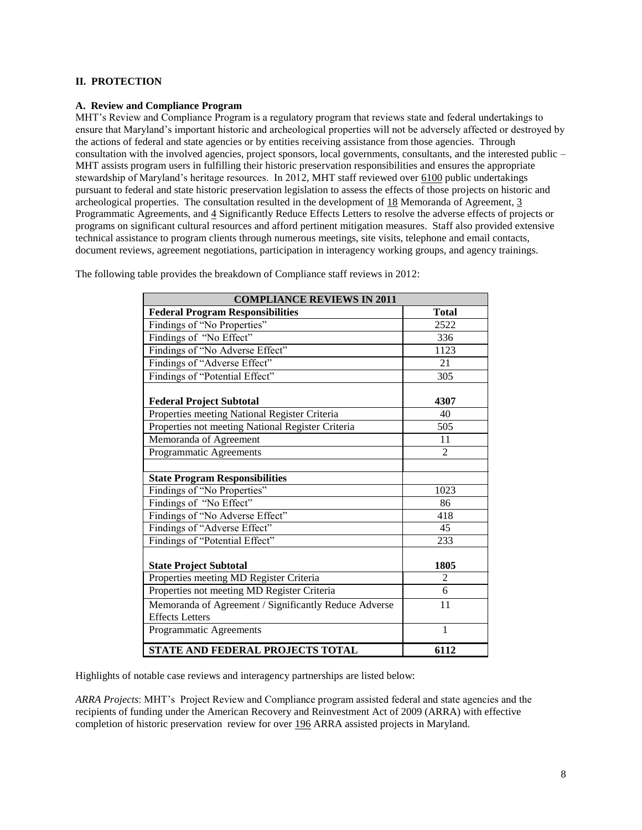## **II. PROTECTION**

#### **A. Review and Compliance Program**

MHT's Review and Compliance Program is a regulatory program that reviews state and federal undertakings to ensure that Maryland's important historic and archeological properties will not be adversely affected or destroyed by the actions of federal and state agencies or by entities receiving assistance from those agencies. Through consultation with the involved agencies, project sponsors, local governments, consultants, and the interested public – MHT assists program users in fulfilling their historic preservation responsibilities and ensures the appropriate stewardship of Maryland's heritage resources. In 2012, MHT staff reviewed over 6100 public undertakings pursuant to federal and state historic preservation legislation to assess the effects of those projects on historic and archeological properties. The consultation resulted in the development of 18 Memoranda of Agreement, 3 Programmatic Agreements, and 4 Significantly Reduce Effects Letters to resolve the adverse effects of projects or programs on significant cultural resources and afford pertinent mitigation measures. Staff also provided extensive technical assistance to program clients through numerous meetings, site visits, telephone and email contacts, document reviews, agreement negotiations, participation in interagency working groups, and agency trainings.

| <b>COMPLIANCE REVIEWS IN 2011</b>                                               |                |
|---------------------------------------------------------------------------------|----------------|
| <b>Federal Program Responsibilities</b>                                         | <b>Total</b>   |
| Findings of "No Properties"                                                     | 2522           |
| Findings of "No Effect"                                                         | 336            |
| Findings of "No Adverse Effect"                                                 | 1123           |
| Findings of "Adverse Effect"                                                    | 21             |
| Findings of "Potential Effect"                                                  | 305            |
| <b>Federal Project Subtotal</b>                                                 | 4307           |
| Properties meeting National Register Criteria                                   | 40             |
| Properties not meeting National Register Criteria                               | 505            |
| Memoranda of Agreement                                                          | 11             |
| Programmatic Agreements                                                         | $\overline{2}$ |
|                                                                                 |                |
| <b>State Program Responsibilities</b>                                           |                |
| Findings of "No Properties"                                                     | 1023           |
| Findings of "No Effect"                                                         | 86             |
| Findings of "No Adverse Effect"                                                 | 418            |
| Findings of "Adverse Effect"                                                    | 45             |
| Findings of "Potential Effect"                                                  | 233            |
| <b>State Project Subtotal</b>                                                   | 1805           |
| Properties meeting MD Register Criteria                                         | $\overline{2}$ |
| Properties not meeting MD Register Criteria                                     | 6              |
| Memoranda of Agreement / Significantly Reduce Adverse<br><b>Effects Letters</b> | 11             |
| Programmatic Agreements                                                         | $\mathbf{1}$   |
| STATE AND FEDERAL PROJECTS TOTAL                                                | 6112           |

The following table provides the breakdown of Compliance staff reviews in 2012:

Highlights of notable case reviews and interagency partnerships are listed below:

*ARRA Projects*: MHT's Project Review and Compliance program assisted federal and state agencies and the recipients of funding under the American Recovery and Reinvestment Act of 2009 (ARRA) with effective completion of historic preservation review for over 196 ARRA assisted projects in Maryland.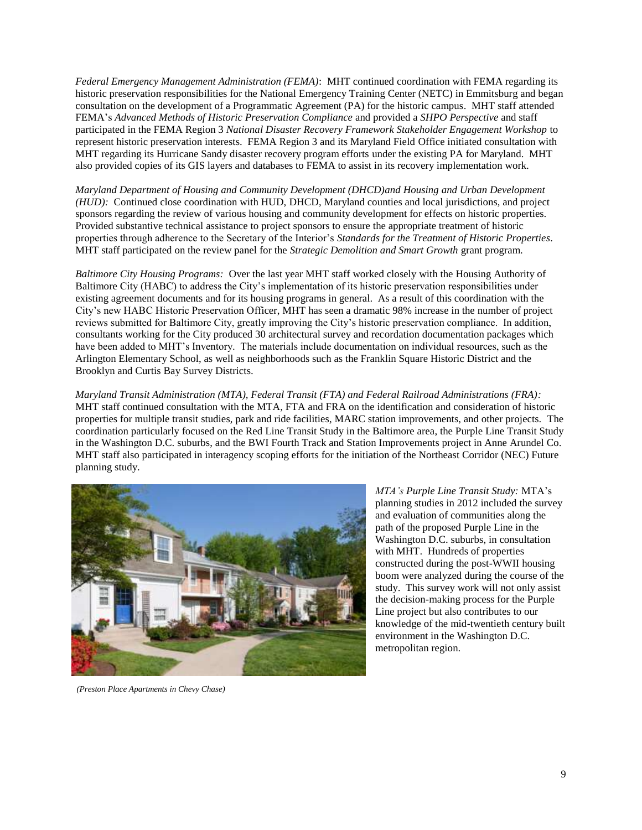*Federal Emergency Management Administration (FEMA)*: MHT continued coordination with FEMA regarding its historic preservation responsibilities for the National Emergency Training Center (NETC) in Emmitsburg and began consultation on the development of a Programmatic Agreement (PA) for the historic campus. MHT staff attended FEMA's *Advanced Methods of Historic Preservation Compliance* and provided a *SHPO Perspective* and staff participated in the FEMA Region 3 *National Disaster Recovery Framework Stakeholder Engagement Workshop* to represent historic preservation interests. FEMA Region 3 and its Maryland Field Office initiated consultation with MHT regarding its Hurricane Sandy disaster recovery program efforts under the existing PA for Maryland. MHT also provided copies of its GIS layers and databases to FEMA to assist in its recovery implementation work.

*Maryland Department of Housing and Community Development (DHCD)and Housing and Urban Development (HUD):* Continued close coordination with HUD, DHCD, Maryland counties and local jurisdictions, and project sponsors regarding the review of various housing and community development for effects on historic properties. Provided substantive technical assistance to project sponsors to ensure the appropriate treatment of historic properties through adherence to the Secretary of the Interior's *Standards for the Treatment of Historic Properties*. MHT staff participated on the review panel for the *Strategic Demolition and Smart Growth* grant program.

*Baltimore City Housing Programs:* Over the last year MHT staff worked closely with the Housing Authority of Baltimore City (HABC) to address the City's implementation of its historic preservation responsibilities under existing agreement documents and for its housing programs in general. As a result of this coordination with the City's new HABC Historic Preservation Officer, MHT has seen a dramatic 98% increase in the number of project reviews submitted for Baltimore City, greatly improving the City's historic preservation compliance. In addition, consultants working for the City produced 30 architectural survey and recordation documentation packages which have been added to MHT's Inventory. The materials include documentation on individual resources, such as the Arlington Elementary School, as well as neighborhoods such as the Franklin Square Historic District and the Brooklyn and Curtis Bay Survey Districts.

*Maryland Transit Administration (MTA), Federal Transit (FTA) and Federal Railroad Administrations (FRA):* MHT staff continued consultation with the MTA, FTA and FRA on the identification and consideration of historic properties for multiple transit studies, park and ride facilities, MARC station improvements, and other projects. The coordination particularly focused on the Red Line Transit Study in the Baltimore area, the Purple Line Transit Study in the Washington D.C. suburbs, and the BWI Fourth Track and Station Improvements project in Anne Arundel Co. MHT staff also participated in interagency scoping efforts for the initiation of the Northeast Corridor (NEC) Future planning study.



*MTA's Purple Line Transit Study:* MTA's planning studies in 2012 included the survey and evaluation of communities along the path of the proposed Purple Line in the Washington D.C. suburbs, in consultation with MHT. Hundreds of properties constructed during the post-WWII housing boom were analyzed during the course of the study. This survey work will not only assist the decision-making process for the Purple Line project but also contributes to our knowledge of the mid-twentieth century built environment in the Washington D.C. metropolitan region.

*(Preston Place Apartments in Chevy Chase)*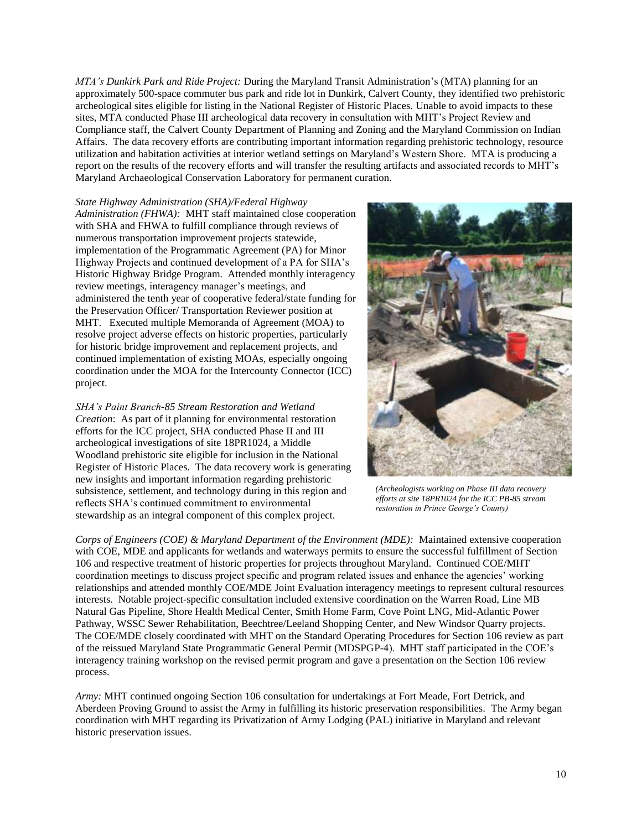*MTA's Dunkirk Park and Ride Project:* During the Maryland Transit Administration's (MTA) planning for an approximately 500-space commuter bus park and ride lot in Dunkirk, Calvert County, they identified two prehistoric archeological sites eligible for listing in the National Register of Historic Places. Unable to avoid impacts to these sites, MTA conducted Phase III archeological data recovery in consultation with MHT's Project Review and Compliance staff, the Calvert County Department of Planning and Zoning and the Maryland Commission on Indian Affairs. The data recovery efforts are contributing important information regarding prehistoric technology, resource utilization and habitation activities at interior wetland settings on Maryland's Western Shore. MTA is producing a report on the results of the recovery efforts and will transfer the resulting artifacts and associated records to MHT's Maryland Archaeological Conservation Laboratory for permanent curation.

#### *State Highway Administration (SHA)/Federal Highway*

*Administration (FHWA):* MHT staff maintained close cooperation with SHA and FHWA to fulfill compliance through reviews of numerous transportation improvement projects statewide, implementation of the Programmatic Agreement (PA) for Minor Highway Projects and continued development of a PA for SHA's Historic Highway Bridge Program. Attended monthly interagency review meetings, interagency manager's meetings, and administered the tenth year of cooperative federal/state funding for the Preservation Officer/ Transportation Reviewer position at MHT. Executed multiple Memoranda of Agreement (MOA) to resolve project adverse effects on historic properties, particularly for historic bridge improvement and replacement projects, and continued implementation of existing MOAs, especially ongoing coordination under the MOA for the Intercounty Connector (ICC) project.

*SHA's Paint Branch-85 Stream Restoration and Wetland Creation*: As part of it planning for environmental restoration efforts for the ICC project, SHA conducted Phase II and III archeological investigations of site 18PR1024, a Middle Woodland prehistoric site eligible for inclusion in the National Register of Historic Places. The data recovery work is generating new insights and important information regarding prehistoric subsistence, settlement, and technology during in this region and reflects SHA's continued commitment to environmental stewardship as an integral component of this complex project.



*(Archeologists working on Phase III data recovery efforts at site 18PR1024 for the ICC PB-85 stream restoration in Prince George's County)*

*Corps of Engineers (COE) & Maryland Department of the Environment (MDE):* Maintained extensive cooperation with COE, MDE and applicants for wetlands and waterways permits to ensure the successful fulfillment of Section 106 and respective treatment of historic properties for projects throughout Maryland. Continued COE/MHT coordination meetings to discuss project specific and program related issues and enhance the agencies' working relationships and attended monthly COE/MDE Joint Evaluation interagency meetings to represent cultural resources interests. Notable project-specific consultation included extensive coordination on the Warren Road, Line MB Natural Gas Pipeline, Shore Health Medical Center, Smith Home Farm, Cove Point LNG, Mid-Atlantic Power Pathway, WSSC Sewer Rehabilitation, Beechtree/Leeland Shopping Center, and New Windsor Quarry projects. The COE/MDE closely coordinated with MHT on the Standard Operating Procedures for Section 106 review as part of the reissued Maryland State Programmatic General Permit (MDSPGP-4). MHT staff participated in the COE's interagency training workshop on the revised permit program and gave a presentation on the Section 106 review process.

*Army:* MHT continued ongoing Section 106 consultation for undertakings at Fort Meade, Fort Detrick, and Aberdeen Proving Ground to assist the Army in fulfilling its historic preservation responsibilities. The Army began coordination with MHT regarding its Privatization of Army Lodging (PAL) initiative in Maryland and relevant historic preservation issues.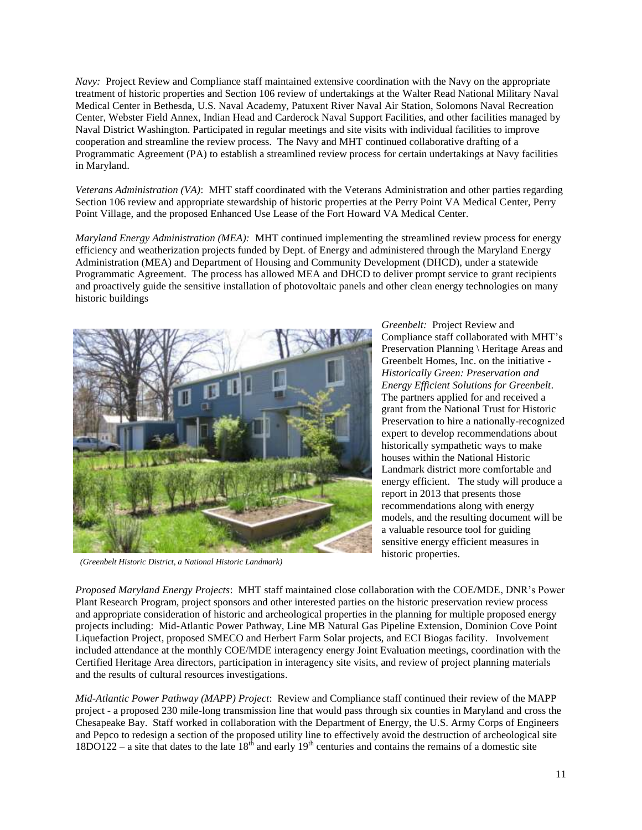*Navy:* Project Review and Compliance staff maintained extensive coordination with the Navy on the appropriate treatment of historic properties and Section 106 review of undertakings at the Walter Read National Military Naval Medical Center in Bethesda, U.S. Naval Academy, Patuxent River Naval Air Station, Solomons Naval Recreation Center, Webster Field Annex, Indian Head and Carderock Naval Support Facilities, and other facilities managed by Naval District Washington. Participated in regular meetings and site visits with individual facilities to improve cooperation and streamline the review process. The Navy and MHT continued collaborative drafting of a Programmatic Agreement (PA) to establish a streamlined review process for certain undertakings at Navy facilities in Maryland.

*Veterans Administration (VA)*: MHT staff coordinated with the Veterans Administration and other parties regarding Section 106 review and appropriate stewardship of historic properties at the Perry Point VA Medical Center, Perry Point Village, and the proposed Enhanced Use Lease of the Fort Howard VA Medical Center.

*Maryland Energy Administration (MEA):* MHT continued implementing the streamlined review process for energy efficiency and weatherization projects funded by Dept. of Energy and administered through the Maryland Energy Administration (MEA) and Department of Housing and Community Development (DHCD), under a statewide Programmatic Agreement. The process has allowed MEA and DHCD to deliver prompt service to grant recipients and proactively guide the sensitive installation of photovoltaic panels and other clean energy technologies on many historic buildings



*(Greenbelt Historic District, a National Historic Landmark)*

*Greenbelt:* Project Review and Compliance staff collaborated with MHT's Preservation Planning \ Heritage Areas and Greenbelt Homes, Inc. on the initiative - *Historically Green: Preservation and Energy Efficient Solutions for Greenbelt*. The partners applied for and received a grant from the National Trust for Historic Preservation to hire a nationally-recognized expert to develop recommendations about historically sympathetic ways to make houses within the National Historic Landmark district more comfortable and energy efficient. The study will produce a report in 2013 that presents those recommendations along with energy models, and the resulting document will be a valuable resource tool for guiding sensitive energy efficient measures in historic properties.

*Proposed Maryland Energy Projects*: MHT staff maintained close collaboration with the COE/MDE, DNR's Power Plant Research Program, project sponsors and other interested parties on the historic preservation review process and appropriate consideration of historic and archeological properties in the planning for multiple proposed energy projects including: Mid-Atlantic Power Pathway, Line MB Natural Gas Pipeline Extension, Dominion Cove Point Liquefaction Project, proposed SMECO and Herbert Farm Solar projects, and ECI Biogas facility. Involvement included attendance at the monthly COE/MDE interagency energy Joint Evaluation meetings, coordination with the Certified Heritage Area directors, participation in interagency site visits, and review of project planning materials and the results of cultural resources investigations.

*Mid-Atlantic Power Pathway (MAPP) Project*: Review and Compliance staff continued their review of the MAPP project - a proposed 230 mile-long transmission line that would pass through six counties in Maryland and cross the Chesapeake Bay. Staff worked in collaboration with the Department of Energy, the U.S. Army Corps of Engineers and Pepco to redesign a section of the proposed utility line to effectively avoid the destruction of archeological site  $18DO122 - a$  site that dates to the late  $18^{th}$  and early  $19^{th}$  centuries and contains the remains of a domestic site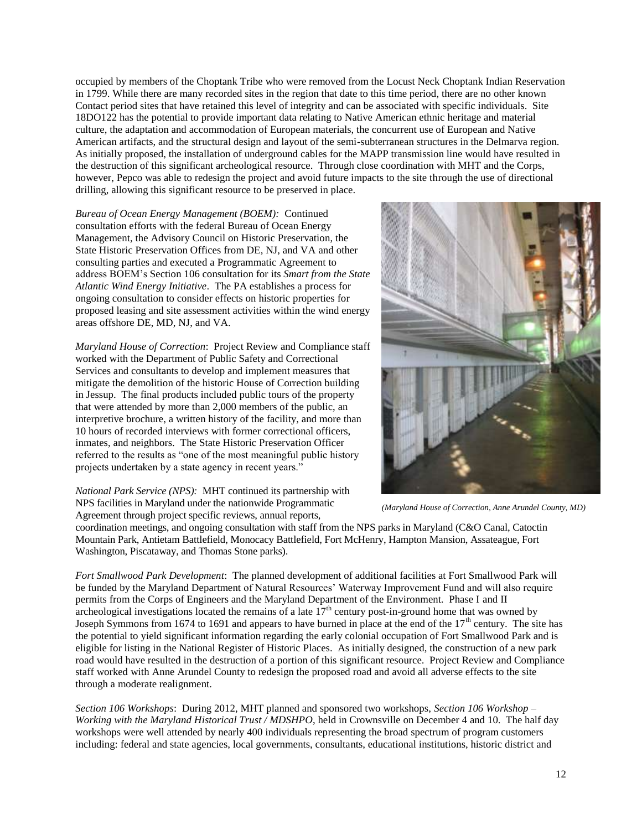occupied by members of the Choptank Tribe who were removed from the Locust Neck Choptank Indian Reservation in 1799. While there are many recorded sites in the region that date to this time period, there are no other known Contact period sites that have retained this level of integrity and can be associated with specific individuals. Site 18DO122 has the potential to provide important data relating to Native American ethnic heritage and material culture, the adaptation and accommodation of European materials, the concurrent use of European and Native American artifacts, and the structural design and layout of the semi-subterranean structures in the Delmarva region. As initially proposed, the installation of underground cables for the MAPP transmission line would have resulted in the destruction of this significant archeological resource. Through close coordination with MHT and the Corps, however, Pepco was able to redesign the project and avoid future impacts to the site through the use of directional drilling, allowing this significant resource to be preserved in place.

*Bureau of Ocean Energy Management (BOEM):* Continued consultation efforts with the federal Bureau of Ocean Energy Management, the Advisory Council on Historic Preservation, the State Historic Preservation Offices from DE, NJ, and VA and other consulting parties and executed a Programmatic Agreement to address BOEM's Section 106 consultation for its *Smart from the State Atlantic Wind Energy Initiative*. The PA establishes a process for ongoing consultation to consider effects on historic properties for proposed leasing and site assessment activities within the wind energy areas offshore DE, MD, NJ, and VA.

*Maryland House of Correction*: Project Review and Compliance staff worked with the Department of Public Safety and Correctional Services and consultants to develop and implement measures that mitigate the demolition of the historic House of Correction building in Jessup. The final products included public tours of the property that were attended by more than 2,000 members of the public, an interpretive brochure, a written history of the facility, and more than 10 hours of recorded interviews with former correctional officers, inmates, and neighbors. The State Historic Preservation Officer referred to the results as "one of the most meaningful public history projects undertaken by a state agency in recent years."

*National Park Service (NPS):* MHT continued its partnership with NPS facilities in Maryland under the nationwide Programmatic Agreement through project specific reviews, annual reports,



*(Maryland House of Correction, Anne Arundel County, MD)*

coordination meetings, and ongoing consultation with staff from the NPS parks in Maryland (C&O Canal, Catoctin Mountain Park, Antietam Battlefield, Monocacy Battlefield, Fort McHenry, Hampton Mansion, Assateague, Fort Washington, Piscataway, and Thomas Stone parks).

*Fort Smallwood Park Development*: The planned development of additional facilities at Fort Smallwood Park will be funded by the Maryland Department of Natural Resources' Waterway Improvement Fund and will also require permits from the Corps of Engineers and the Maryland Department of the Environment. Phase I and II archeological investigations located the remains of a late  $17<sup>th</sup>$  century post-in-ground home that was owned by Joseph Symmons from 1674 to 1691 and appears to have burned in place at the end of the  $17<sup>th</sup>$  century. The site has the potential to yield significant information regarding the early colonial occupation of Fort Smallwood Park and is eligible for listing in the National Register of Historic Places. As initially designed, the construction of a new park road would have resulted in the destruction of a portion of this significant resource. Project Review and Compliance staff worked with Anne Arundel County to redesign the proposed road and avoid all adverse effects to the site through a moderate realignment.

*Section 106 Workshops*:During 2012, MHT planned and sponsored two workshops, *Section 106 Workshop – Working with the Maryland Historical Trust / MDSHPO*, held in Crownsville on December 4 and 10. The half day workshops were well attended by nearly 400 individuals representing the broad spectrum of program customers including: federal and state agencies, local governments, consultants, educational institutions, historic district and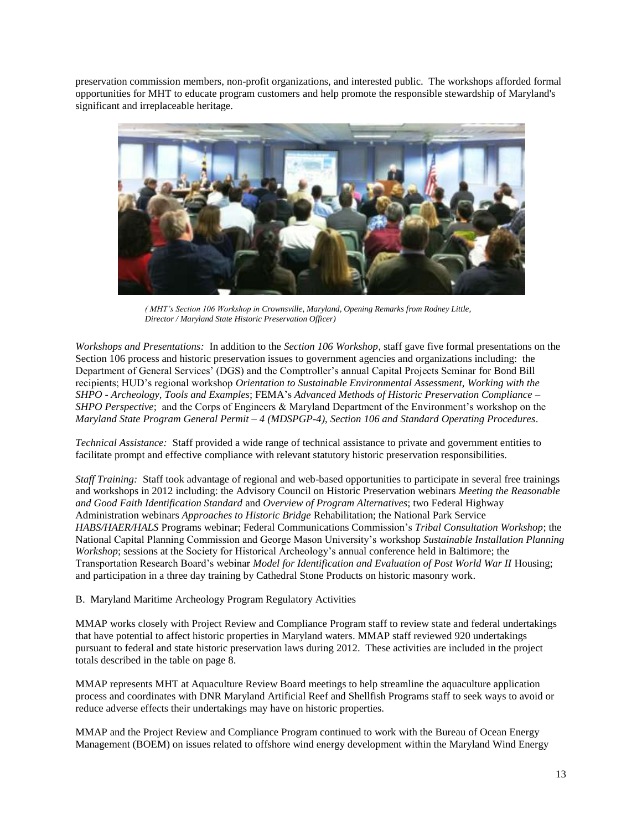preservation commission members, non-profit organizations, and interested public. The workshops afforded formal opportunities for MHT to educate program customers and help promote the responsible stewardship of Maryland's significant and irreplaceable heritage.



*( MHT's Section 106 Workshop in Crownsville, Maryland, Opening Remarks from Rodney Little, Director / Maryland State Historic Preservation Officer)* 

*Workshops and Presentations:* In addition to the *Section 106 Workshop*, staff gave five formal presentations on the Section 106 process and historic preservation issues to government agencies and organizations including: the Department of General Services' (DGS) and the Comptroller's annual Capital Projects Seminar for Bond Bill recipients; HUD's regional workshop *Orientation to Sustainable Environmental Assessment, Working with the SHPO - Archeology, Tools and Examples*; FEMA's *Advanced Methods of Historic Preservation Compliance – SHPO Perspective*; and the Corps of Engineers & Maryland Department of the Environment's workshop on the *Maryland State Program General Permit – 4 (MDSPGP-4)*, *Section 106 and Standard Operating Procedures*.

*Technical Assistance:* Staff provided a wide range of technical assistance to private and government entities to facilitate prompt and effective compliance with relevant statutory historic preservation responsibilities.

*Staff Training:* Staff took advantage of regional and web-based opportunities to participate in several free trainings and workshops in 2012 including: the Advisory Council on Historic Preservation webinars *Meeting the Reasonable and Good Faith Identification Standard* and *Overview of Program Alternatives*; two Federal Highway Administration webinars *Approaches to Historic Bridge* Rehabilitation; the National Park Service *HABS/HAER/HALS* Programs webinar; Federal Communications Commission's *Tribal Consultation Workshop*; the National Capital Planning Commission and George Mason University's workshop *Sustainable Installation Planning Workshop*; sessions at the Society for Historical Archeology's annual conference held in Baltimore; the Transportation Research Board's webinar *Model for Identification and Evaluation of Post World War II* Housing; and participation in a three day training by Cathedral Stone Products on historic masonry work.

## B. Maryland Maritime Archeology Program Regulatory Activities

MMAP works closely with Project Review and Compliance Program staff to review state and federal undertakings that have potential to affect historic properties in Maryland waters. MMAP staff reviewed 920 undertakings pursuant to federal and state historic preservation laws during 2012. These activities are included in the project totals described in the table on page 8.

MMAP represents MHT at Aquaculture Review Board meetings to help streamline the aquaculture application process and coordinates with DNR Maryland Artificial Reef and Shellfish Programs staff to seek ways to avoid or reduce adverse effects their undertakings may have on historic properties.

MMAP and the Project Review and Compliance Program continued to work with the Bureau of Ocean Energy Management (BOEM) on issues related to offshore wind energy development within the Maryland Wind Energy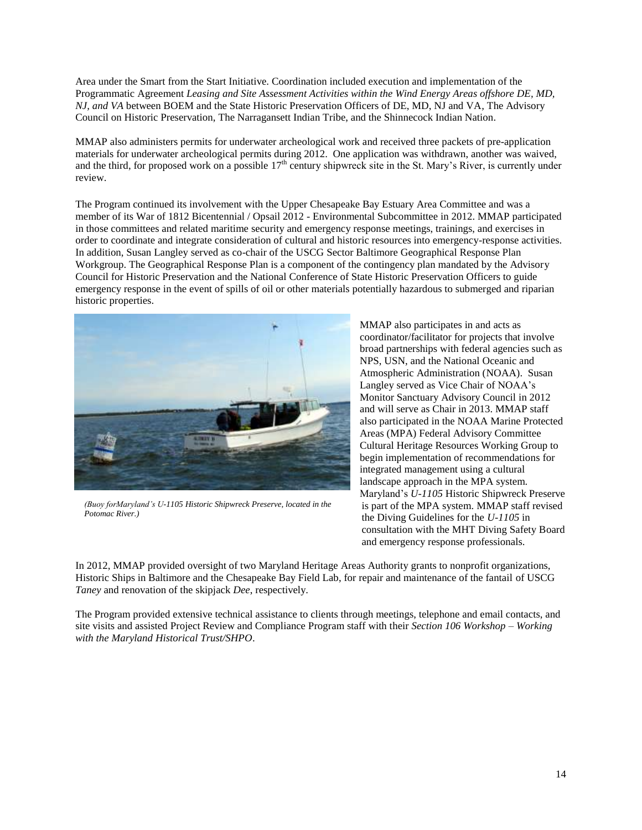Area under the Smart from the Start Initiative. Coordination included execution and implementation of the Programmatic Agreement *Leasing and Site Assessment Activities within the Wind Energy Areas offshore DE, MD, NJ, and VA* between BOEM and the State Historic Preservation Officers of DE, MD, NJ and VA*,* The Advisory Council on Historic Preservation, The Narragansett Indian Tribe, and the Shinnecock Indian Nation.

MMAP also administers permits for underwater archeological work and received three packets of pre-application materials for underwater archeological permits during 2012. One application was withdrawn, another was waived, and the third, for proposed work on a possible  $17<sup>th</sup>$  century shipwreck site in the St. Mary's River, is currently under review.

The Program continued its involvement with the Upper Chesapeake Bay Estuary Area Committee and was a member of its War of 1812 Bicentennial / Opsail 2012 - Environmental Subcommittee in 2012. MMAP participated in those committees and related maritime security and emergency response meetings, trainings, and exercises in order to coordinate and integrate consideration of cultural and historic resources into emergency-response activities. In addition, Susan Langley served as co-chair of the USCG Sector Baltimore Geographical Response Plan Workgroup. The Geographical Response Plan is a component of the contingency plan mandated by the Advisory Council for Historic Preservation and the National Conference of State Historic Preservation Officers to guide emergency response in the event of spills of oil or other materials potentially hazardous to submerged and riparian historic properties.



*(Buoy forMaryland's U-1105 Historic Shipwreck Preserve, located in the Potomac River.)*

MMAP also participates in and acts as coordinator/facilitator for projects that involve broad partnerships with federal agencies such as NPS, USN, and the National Oceanic and Atmospheric Administration (NOAA). Susan Langley served as Vice Chair of NOAA's Monitor Sanctuary Advisory Council in 2012 and will serve as Chair in 2013. MMAP staff also participated in the NOAA Marine Protected Areas (MPA) Federal Advisory Committee Cultural Heritage Resources Working Group to begin implementation of recommendations for integrated management using a cultural landscape approach in the MPA system. Maryland's *U-1105* Historic Shipwreck Preserve is part of the MPA system. MMAP staff revised the Diving Guidelines for the *U-1105* in consultation with the MHT Diving Safety Board and emergency response professionals.

In 2012, MMAP provided oversight of two Maryland Heritage Areas Authority grants to nonprofit organizations, Historic Ships in Baltimore and the Chesapeake Bay Field Lab, for repair and maintenance of the fantail of USCG *Taney* and renovation of the skipjack *Dee*, respectively.

The Program provided extensive technical assistance to clients through meetings, telephone and email contacts, and site visits and assisted Project Review and Compliance Program staff with their *Section 106 Workshop – Working with the Maryland Historical Trust/SHPO*.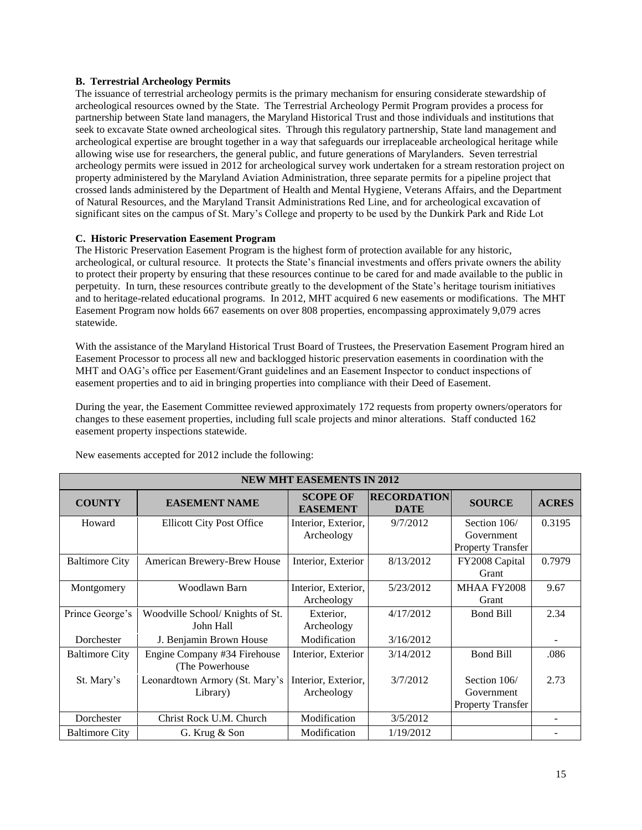## **B. Terrestrial Archeology Permits**

The issuance of terrestrial archeology permits is the primary mechanism for ensuring considerate stewardship of archeological resources owned by the State. The Terrestrial Archeology Permit Program provides a process for partnership between State land managers, the Maryland Historical Trust and those individuals and institutions that seek to excavate State owned archeological sites. Through this regulatory partnership, State land management and archeological expertise are brought together in a way that safeguards our irreplaceable archeological heritage while allowing wise use for researchers, the general public, and future generations of Marylanders. Seven terrestrial archeology permits were issued in 2012 for archeological survey work undertaken for a stream restoration project on property administered by the Maryland Aviation Administration, three separate permits for a pipeline project that crossed lands administered by the Department of Health and Mental Hygiene, Veterans Affairs, and the Department of Natural Resources, and the Maryland Transit Administrations Red Line, and for archeological excavation of significant sites on the campus of St. Mary's College and property to be used by the Dunkirk Park and Ride Lot

## **C. Historic Preservation Easement Program**

The Historic Preservation Easement Program is the highest form of protection available for any historic, archeological, or cultural resource. It protects the State's financial investments and offers private owners the ability to protect their property by ensuring that these resources continue to be cared for and made available to the public in perpetuity. In turn, these resources contribute greatly to the development of the State's heritage tourism initiatives and to heritage-related educational programs. In 2012, MHT acquired 6 new easements or modifications. The MHT Easement Program now holds 667 easements on over 808 properties, encompassing approximately 9,079 acres statewide.

With the assistance of the Maryland Historical Trust Board of Trustees, the Preservation Easement Program hired an Easement Processor to process all new and backlogged historic preservation easements in coordination with the MHT and OAG's office per Easement/Grant guidelines and an Easement Inspector to conduct inspections of easement properties and to aid in bringing properties into compliance with their Deed of Easement.

During the year, the Easement Committee reviewed approximately 172 requests from property owners/operators for changes to these easement properties, including full scale projects and minor alterations. Staff conducted 162 easement property inspections statewide.

| <b>NEW MHT EASEMENTS IN 2012</b> |                                                 |                                    |                                   |                                                        |              |  |  |
|----------------------------------|-------------------------------------------------|------------------------------------|-----------------------------------|--------------------------------------------------------|--------------|--|--|
| <b>COUNTY</b>                    | <b>EASEMENT NAME</b>                            | <b>SCOPE OF</b><br><b>EASEMENT</b> | <b>RECORDATION</b><br><b>DATE</b> | <b>SOURCE</b>                                          | <b>ACRES</b> |  |  |
| Howard                           | <b>Ellicott City Post Office</b>                | Interior, Exterior,                | 9/7/2012                          | Section 106/                                           | 0.3195       |  |  |
|                                  |                                                 | Archeology                         |                                   | Government<br><b>Property Transfer</b>                 |              |  |  |
| <b>Baltimore City</b>            | American Brewery-Brew House                     | Interior, Exterior                 | 8/13/2012                         | FY2008 Capital<br>Grant                                | 0.7979       |  |  |
| Montgomery                       | Woodlawn Barn                                   | Interior, Exterior,<br>Archeology  | 5/23/2012                         | MHAA FY2008<br>Grant                                   | 9.67         |  |  |
| Prince George's                  | Woodville School/ Knights of St.<br>John Hall   | Exterior.<br>Archeology            | 4/17/2012                         | <b>Bond Bill</b>                                       | 2.34         |  |  |
| Dorchester                       | J. Benjamin Brown House                         | Modification                       | 3/16/2012                         |                                                        |              |  |  |
| <b>Baltimore City</b>            | Engine Company #34 Firehouse<br>(The Powerhouse | Interior, Exterior                 | 3/14/2012                         | <b>Bond Bill</b>                                       | .086         |  |  |
| St. Mary's                       | Leonardtown Armory (St. Mary's<br>Library)      | Interior, Exterior,<br>Archeology  | 3/7/2012                          | Section 106/<br>Government<br><b>Property Transfer</b> | 2.73         |  |  |
| Dorchester                       | Christ Rock U.M. Church                         | Modification                       | 3/5/2012                          |                                                        |              |  |  |
| <b>Baltimore City</b>            | G. Krug & Son                                   | Modification                       | 1/19/2012                         |                                                        |              |  |  |

New easements accepted for 2012 include the following: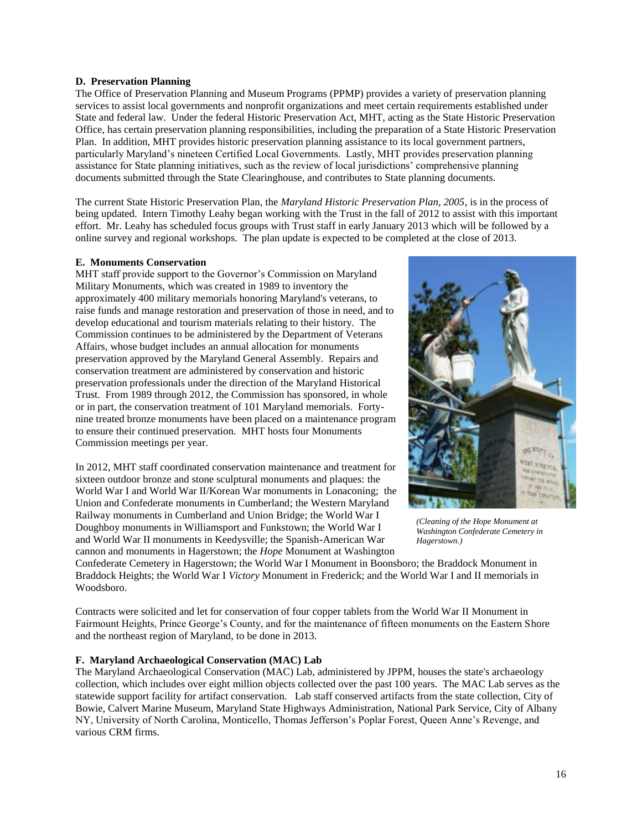## **D. Preservation Planning**

The Office of Preservation Planning and Museum Programs (PPMP) provides a variety of preservation planning services to assist local governments and nonprofit organizations and meet certain requirements established under State and federal law. Under the federal Historic Preservation Act, MHT, acting as the State Historic Preservation Office, has certain preservation planning responsibilities, including the preparation of a State Historic Preservation Plan. In addition, MHT provides historic preservation planning assistance to its local government partners, particularly Maryland's nineteen Certified Local Governments. Lastly, MHT provides preservation planning assistance for State planning initiatives, such as the review of local jurisdictions' comprehensive planning documents submitted through the State Clearinghouse, and contributes to State planning documents.

The current State Historic Preservation Plan, the *Maryland Historic Preservation Plan, 2005*, is in the process of being updated. Intern Timothy Leahy began working with the Trust in the fall of 2012 to assist with this important effort. Mr. Leahy has scheduled focus groups with Trust staff in early January 2013 which will be followed by a online survey and regional workshops. The plan update is expected to be completed at the close of 2013.

#### **E. Monuments Conservation**

MHT staff provide support to the Governor's Commission on Maryland Military Monuments, which was created in 1989 to inventory the approximately 400 military memorials honoring Maryland's veterans, to raise funds and manage restoration and preservation of those in need, and to develop educational and tourism materials relating to their history. The Commission continues to be administered by the Department of Veterans Affairs, whose budget includes an annual allocation for monuments preservation approved by the Maryland General Assembly. Repairs and conservation treatment are administered by conservation and historic preservation professionals under the direction of the Maryland Historical Trust. From 1989 through 2012, the Commission has sponsored, in whole or in part, the conservation treatment of 101 Maryland memorials. Fortynine treated bronze monuments have been placed on a maintenance program to ensure their continued preservation. MHT hosts four Monuments Commission meetings per year.

In 2012, MHT staff coordinated conservation maintenance and treatment for sixteen outdoor bronze and stone sculptural monuments and plaques: the World War I and World War II/Korean War monuments in Lonaconing; the Union and Confederate monuments in Cumberland; the Western Maryland Railway monuments in Cumberland and Union Bridge; the World War I Doughboy monuments in Williamsport and Funkstown; the World War I and World War II monuments in Keedysville; the Spanish-American War cannon and monuments in Hagerstown; the *Hope* Monument at Washington



*(Cleaning of the Hope Monument at Washington Confederate Cemetery in Hagerstown.)*

Confederate Cemetery in Hagerstown; the World War I Monument in Boonsboro; the Braddock Monument in Braddock Heights; the World War I *Victory* Monument in Frederick; and the World War I and II memorials in Woodsboro.

Contracts were solicited and let for conservation of four copper tablets from the World War II Monument in Fairmount Heights, Prince George's County, and for the maintenance of fifteen monuments on the Eastern Shore and the northeast region of Maryland, to be done in 2013.

## **F. Maryland Archaeological Conservation (MAC) Lab**

The Maryland Archaeological Conservation (MAC) Lab, administered by JPPM, houses the state's archaeology collection, which includes over eight million objects collected over the past 100 years. The MAC Lab serves as the statewide support facility for artifact conservation. Lab staff conserved artifacts from the state collection, City of Bowie, Calvert Marine Museum, Maryland State Highways Administration, National Park Service, City of Albany NY, University of North Carolina, Monticello, Thomas Jefferson's Poplar Forest, Queen Anne's Revenge, and various CRM firms.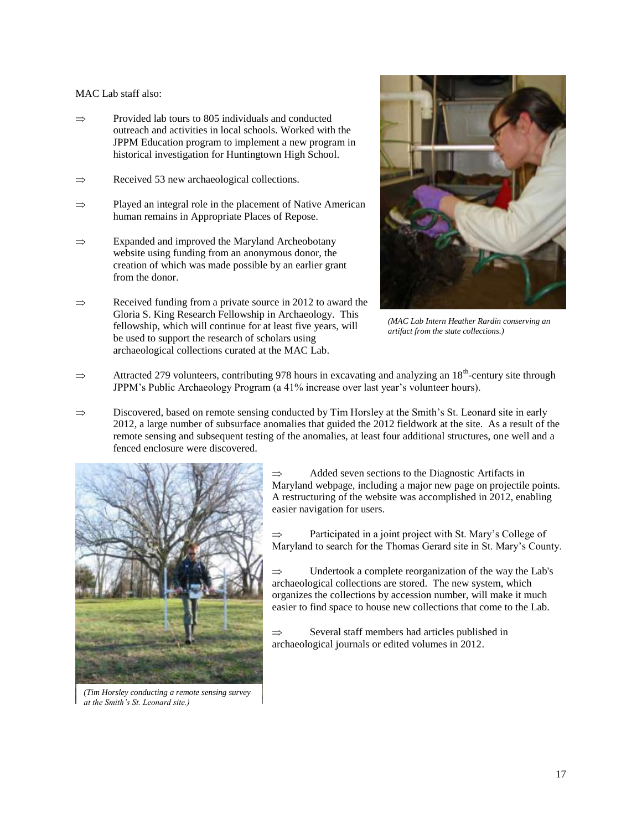#### MAC Lab staff also:

- Provided lab tours to 805 individuals and conducted  $\Rightarrow$ outreach and activities in local schools. Worked with the JPPM Education program to implement a new program in historical investigation for Huntingtown High School.
- Received 53 new archaeological collections.  $\Rightarrow$
- $\Rightarrow$ Played an integral role in the placement of Native American human remains in Appropriate Places of Repose.
- Expanded and improved the Maryland Archeobotany  $\Rightarrow$ website using funding from an anonymous donor, the creation of which was made possible by an earlier grant from the donor.
- Received funding from a private source in 2012 to award the  $\Rightarrow$ Gloria S. King Research Fellowship in Archaeology. This fellowship, which will continue for at least five years, will be used to support the research of scholars using archaeological collections curated at the MAC Lab.



*(MAC Lab Intern Heather Rardin conserving an artifact from the state collections.)*

- Attracted 279 volunteers, contributing 978 hours in excavating and analyzing an  $18<sup>th</sup>$ -century site through  $\Rightarrow$ JPPM's Public Archaeology Program (a 41% increase over last year's volunteer hours).
- $\Rightarrow$ Discovered, based on remote sensing conducted by Tim Horsley at the Smith's St. Leonard site in early 2012, a large number of subsurface anomalies that guided the 2012 fieldwork at the site. As a result of the remote sensing and subsequent testing of the anomalies, at least four additional structures, one well and a fenced enclosure were discovered.



*(Tim Horsley conducting a remote sensing survey at the Smith's St. Leonard site.)*

Added seven sections to the Diagnostic Artifacts in  $\Rightarrow$ Maryland webpage, including a major new page on projectile points. A restructuring of the website was accomplished in 2012, enabling easier navigation for users.

Participated in a joint project with St. Mary's College of Maryland to search for the Thomas Gerard site in St. Mary's County.

Undertook a complete reorganization of the way the Lab's  $\Rightarrow$ archaeological collections are stored. The new system, which organizes the collections by accession number, will make it much easier to find space to house new collections that come to the Lab.

 $\Rightarrow$ Several staff members had articles published in archaeological journals or edited volumes in 2012.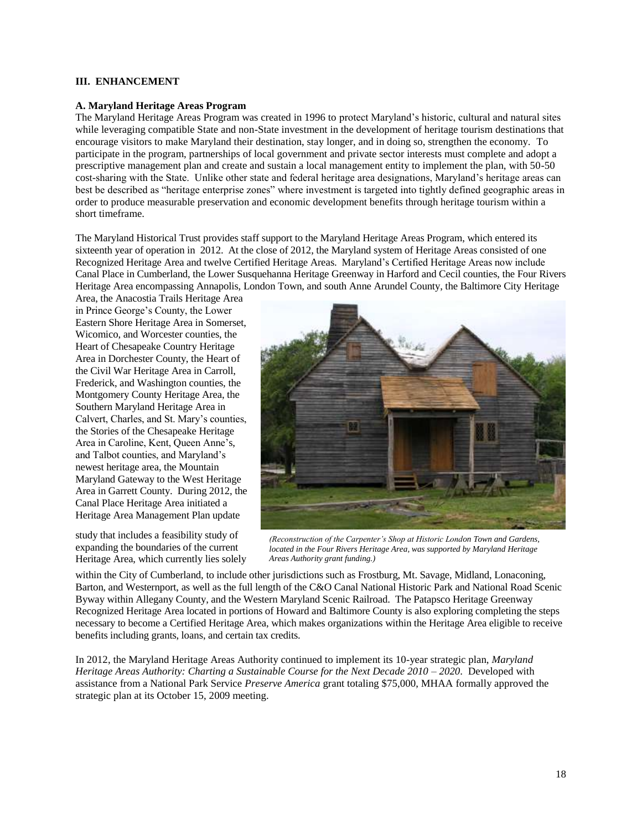#### **III. ENHANCEMENT**

#### **A. Maryland Heritage Areas Program**

The Maryland Heritage Areas Program was created in 1996 to protect Maryland's historic, cultural and natural sites while leveraging compatible State and non-State investment in the development of heritage tourism destinations that encourage visitors to make Maryland their destination, stay longer, and in doing so, strengthen the economy. To participate in the program, partnerships of local government and private sector interests must complete and adopt a prescriptive management plan and create and sustain a local management entity to implement the plan, with 50-50 cost-sharing with the State. Unlike other state and federal heritage area designations, Maryland's heritage areas can best be described as "heritage enterprise zones" where investment is targeted into tightly defined geographic areas in order to produce measurable preservation and economic development benefits through heritage tourism within a short timeframe.

The Maryland Historical Trust provides staff support to the Maryland Heritage Areas Program, which entered its sixteenth year of operation in 2012. At the close of 2012, the Maryland system of Heritage Areas consisted of one Recognized Heritage Area and twelve Certified Heritage Areas. Maryland's Certified Heritage Areas now include Canal Place in Cumberland, the Lower Susquehanna Heritage Greenway in Harford and Cecil counties, the Four Rivers Heritage Area encompassing Annapolis, London Town, and south Anne Arundel County, the Baltimore City Heritage

Area, the Anacostia Trails Heritage Area in Prince George's County, the Lower Eastern Shore Heritage Area in Somerset, Wicomico, and Worcester counties, the Heart of Chesapeake Country Heritage Area in Dorchester County, the Heart of the Civil War Heritage Area in Carroll, Frederick, and Washington counties, the Montgomery County Heritage Area, the Southern Maryland Heritage Area in Calvert, Charles, and St. Mary's counties, the Stories of the Chesapeake Heritage Area in Caroline, Kent, Queen Anne's, and Talbot counties, and Maryland's newest heritage area, the Mountain Maryland Gateway to the West Heritage Area in Garrett County. During 2012, the Canal Place Heritage Area initiated a Heritage Area Management Plan update

study that includes a feasibility study of expanding the boundaries of the current Heritage Area, which currently lies solely



*(Reconstruction of the Carpenter's Shop at Historic London Town and Gardens, located in the Four Rivers Heritage Area, was supported by Maryland Heritage Areas Authority grant funding.)*

within the City of Cumberland, to include other jurisdictions such as Frostburg, Mt. Savage, Midland, Lonaconing, Barton, and Westernport, as well as the full length of the C&O Canal National Historic Park and National Road Scenic Byway within Allegany County, and the Western Maryland Scenic Railroad. The Patapsco Heritage Greenway Recognized Heritage Area located in portions of Howard and Baltimore County is also exploring completing the steps necessary to become a Certified Heritage Area, which makes organizations within the Heritage Area eligible to receive benefits including grants, loans, and certain tax credits.

In 2012, the Maryland Heritage Areas Authority continued to implement its 10-year strategic plan, *Maryland Heritage Areas Authority: Charting a Sustainable Course for the Next Decade 2010 – 2020*. Developed with assistance from a National Park Service *Preserve America* grant totaling \$75,000, MHAA formally approved the strategic plan at its October 15, 2009 meeting.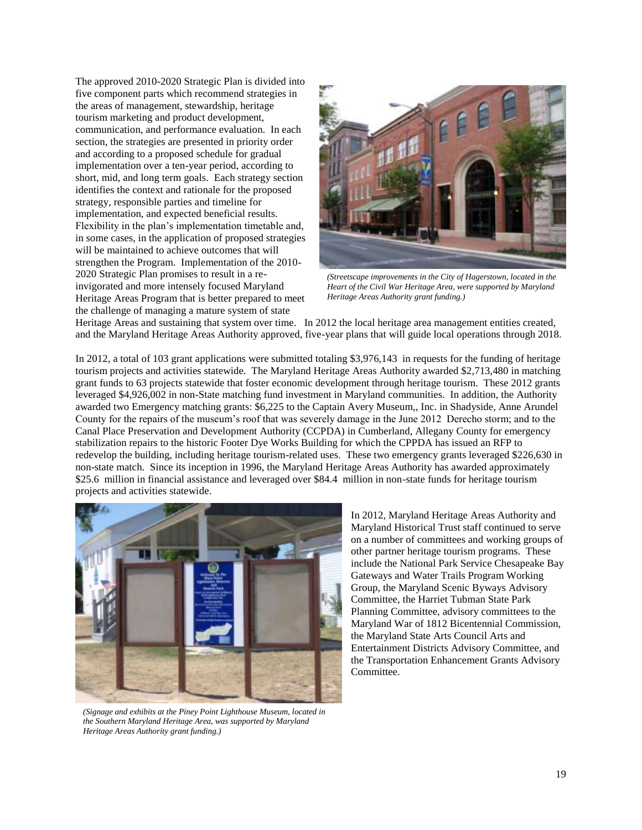The approved 2010-2020 Strategic Plan is divided into five component parts which recommend strategies in the areas of management, stewardship, heritage tourism marketing and product development, communication, and performance evaluation. In each section, the strategies are presented in priority order and according to a proposed schedule for gradual implementation over a ten-year period, according to short, mid, and long term goals. Each strategy section identifies the context and rationale for the proposed strategy, responsible parties and timeline for implementation, and expected beneficial results. Flexibility in the plan's implementation timetable and, in some cases, in the application of proposed strategies will be maintained to achieve outcomes that will strengthen the Program. Implementation of the 2010- 2020 Strategic Plan promises to result in a reinvigorated and more intensely focused Maryland Heritage Areas Program that is better prepared to meet the challenge of managing a mature system of state



*(Streetscape improvements in the City of Hagerstown, located in the Heart of the Civil War Heritage Area, were supported by Maryland Heritage Areas Authority grant funding.)*

Heritage Areas and sustaining that system over time. In 2012 the local heritage area management entities created, and the Maryland Heritage Areas Authority approved, five-year plans that will guide local operations through 2018.

In 2012, a total of 103 grant applications were submitted totaling \$3,976,143 in requests for the funding of heritage tourism projects and activities statewide. The Maryland Heritage Areas Authority awarded \$2,713,480 in matching grant funds to 63 projects statewide that foster economic development through heritage tourism. These 2012 grants leveraged \$4,926,002 in non-State matching fund investment in Maryland communities. In addition, the Authority awarded two Emergency matching grants: \$6,225 to the Captain Avery Museum,, Inc. in Shadyside, Anne Arundel County for the repairs of the museum's roof that was severely damage in the June 2012 Derecho storm; and to the Canal Place Preservation and Development Authority (CCPDA) in Cumberland, Allegany County for emergency stabilization repairs to the historic Footer Dye Works Building for which the CPPDA has issued an RFP to redevelop the building, including heritage tourism-related uses. These two emergency grants leveraged \$226,630 in non-state match. Since its inception in 1996, the Maryland Heritage Areas Authority has awarded approximately \$25.6 million in financial assistance and leveraged over \$84.4 million in non-state funds for heritage tourism projects and activities statewide.



*(Signage and exhibits at the Piney Point Lighthouse Museum, located in the Southern Maryland Heritage Area, was supported by Maryland Heritage Areas Authority grant funding.)*

In 2012, Maryland Heritage Areas Authority and Maryland Historical Trust staff continued to serve on a number of committees and working groups of other partner heritage tourism programs. These include the National Park Service Chesapeake Bay Gateways and Water Trails Program Working Group, the Maryland Scenic Byways Advisory Committee, the Harriet Tubman State Park Planning Committee, advisory committees to the Maryland War of 1812 Bicentennial Commission, the Maryland State Arts Council Arts and Entertainment Districts Advisory Committee, and the Transportation Enhancement Grants Advisory Committee.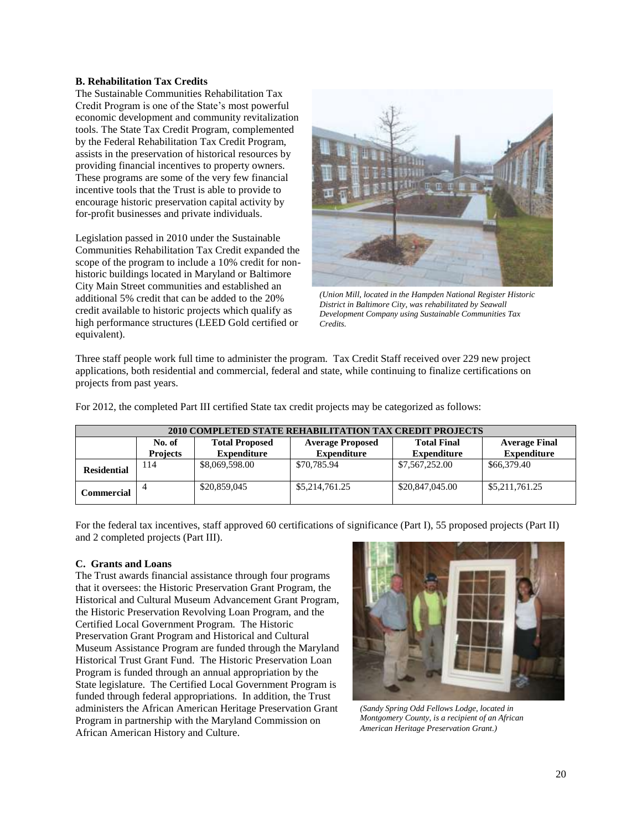#### **B. Rehabilitation Tax Credits**

The Sustainable Communities Rehabilitation Tax Credit Program is one of the State's most powerful economic development and community revitalization tools. The State Tax Credit Program, complemented by the Federal Rehabilitation Tax Credit Program, assists in the preservation of historical resources by providing financial incentives to property owners. These programs are some of the very few financial incentive tools that the Trust is able to provide to encourage historic preservation capital activity by for-profit businesses and private individuals.

Legislation passed in 2010 under the Sustainable Communities Rehabilitation Tax Credit expanded the scope of the program to include a 10% credit for nonhistoric buildings located in Maryland or Baltimore City Main Street communities and established an additional 5% credit that can be added to the 20% credit available to historic projects which qualify as high performance structures (LEED Gold certified or equivalent).



*(Union Mill, located in the Hampden National Register Historic District in Baltimore City, was rehabilitated by Seawall Development Company using Sustainable Communities Tax Credits.*

Three staff people work full time to administer the program. Tax Credit Staff received over 229 new project applications, both residential and commercial, federal and state, while continuing to finalize certifications on projects from past years.

|  | For 2012, the completed Part III certified State tax credit projects may be categorized as follows: |  |  |  |  |  |
|--|-----------------------------------------------------------------------------------------------------|--|--|--|--|--|
|  |                                                                                                     |  |  |  |  |  |
|  |                                                                                                     |  |  |  |  |  |
|  |                                                                                                     |  |  |  |  |  |

| 2010 COMPLETED STATE REHABILITATION TAX CREDIT PROJECTS |                                                                                                          |                    |                    |                    |                    |  |  |
|---------------------------------------------------------|----------------------------------------------------------------------------------------------------------|--------------------|--------------------|--------------------|--------------------|--|--|
|                                                         | <b>Total Final</b><br>No. of<br><b>Total Proposed</b><br><b>Average Final</b><br><b>Average Proposed</b> |                    |                    |                    |                    |  |  |
|                                                         | <b>Projects</b>                                                                                          | <b>Expenditure</b> | <b>Expenditure</b> | <b>Expenditure</b> | <b>Expenditure</b> |  |  |
| <b>Residential</b>                                      | 114                                                                                                      | \$8,069,598.00     | \$70,785.94        | \$7,567,252.00     | \$66,379.40        |  |  |
| Commercial                                              |                                                                                                          | \$20,859,045       | \$5,214,761.25     | \$20,847,045.00    | \$5,211,761.25     |  |  |

For the federal tax incentives, staff approved 60 certifications of significance (Part I), 55 proposed projects (Part II) and 2 completed projects (Part III).

## **C. Grants and Loans**

The Trust awards financial assistance through four programs that it oversees: the Historic Preservation Grant Program, the Historical and Cultural Museum Advancement Grant Program, the Historic Preservation Revolving Loan Program, and the Certified Local Government Program. The Historic Preservation Grant Program and Historical and Cultural Museum Assistance Program are funded through the Maryland Historical Trust Grant Fund. The Historic Preservation Loan Program is funded through an annual appropriation by the State legislature. The Certified Local Government Program is funded through federal appropriations. In addition, the Trust administers the African American Heritage Preservation Grant Program in partnership with the Maryland Commission on African American History and Culture.



*(Sandy Spring Odd Fellows Lodge, located in Montgomery County, is a recipient of an African American Heritage Preservation Grant.)*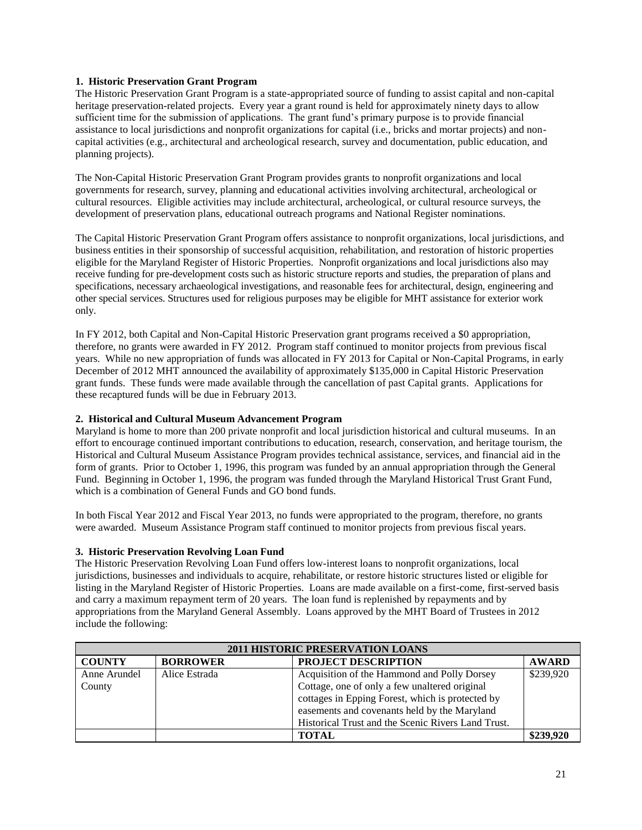## **1. Historic Preservation Grant Program**

The Historic Preservation Grant Program is a state-appropriated source of funding to assist capital and non-capital heritage preservation-related projects. Every year a grant round is held for approximately ninety days to allow sufficient time for the submission of applications. The grant fund's primary purpose is to provide financial assistance to local jurisdictions and nonprofit organizations for capital (i.e., bricks and mortar projects) and noncapital activities (e.g., architectural and archeological research, survey and documentation, public education, and planning projects).

The Non-Capital Historic Preservation Grant Program provides grants to nonprofit organizations and local governments for research, survey, planning and educational activities involving architectural, archeological or cultural resources. Eligible activities may include architectural, archeological, or cultural resource surveys, the development of preservation plans, educational outreach programs and National Register nominations.

The Capital Historic Preservation Grant Program offers assistance to nonprofit organizations, local jurisdictions, and business entities in their sponsorship of successful acquisition, rehabilitation, and restoration of historic properties eligible for the Maryland Register of Historic Properties. Nonprofit organizations and local jurisdictions also may receive funding for pre-development costs such as historic structure reports and studies, the preparation of plans and specifications, necessary archaeological investigations, and reasonable fees for architectural, design, engineering and other special services. Structures used for religious purposes may be eligible for MHT assistance for exterior work only.

In FY 2012, both Capital and Non-Capital Historic Preservation grant programs received a \$0 appropriation, therefore, no grants were awarded in FY 2012. Program staff continued to monitor projects from previous fiscal years. While no new appropriation of funds was allocated in FY 2013 for Capital or Non-Capital Programs, in early December of 2012 MHT announced the availability of approximately \$135,000 in Capital Historic Preservation grant funds. These funds were made available through the cancellation of past Capital grants. Applications for these recaptured funds will be due in February 2013.

## **2. Historical and Cultural Museum Advancement Program**

Maryland is home to more than 200 private nonprofit and local jurisdiction historical and cultural museums. In an effort to encourage continued important contributions to education, research, conservation, and heritage tourism, the Historical and Cultural Museum Assistance Program provides technical assistance, services, and financial aid in the form of grants. Prior to October 1, 1996, this program was funded by an annual appropriation through the General Fund. Beginning in October 1, 1996, the program was funded through the Maryland Historical Trust Grant Fund, which is a combination of General Funds and GO bond funds.

In both Fiscal Year 2012 and Fiscal Year 2013, no funds were appropriated to the program, therefore, no grants were awarded. Museum Assistance Program staff continued to monitor projects from previous fiscal years.

## **3. Historic Preservation Revolving Loan Fund**

The Historic Preservation Revolving Loan Fund offers low-interest loans to nonprofit organizations, local jurisdictions, businesses and individuals to acquire, rehabilitate, or restore historic structures listed or eligible for listing in the Maryland Register of Historic Properties. Loans are made available on a first-come, first-served basis and carry a maximum repayment term of 20 years. The loan fund is replenished by repayments and by appropriations from the Maryland General Assembly. Loans approved by the MHT Board of Trustees in 2012 include the following:

| <b>2011 HISTORIC PRESERVATION LOANS</b> |                 |                                                    |              |  |  |
|-----------------------------------------|-----------------|----------------------------------------------------|--------------|--|--|
| <b>COUNTY</b>                           | <b>BORROWER</b> | <b>PROJECT DESCRIPTION</b>                         | <b>AWARD</b> |  |  |
| Anne Arundel                            | Alice Estrada   | Acquisition of the Hammond and Polly Dorsey        | \$239,920    |  |  |
| County                                  |                 | Cottage, one of only a few unaltered original      |              |  |  |
|                                         |                 | cottages in Epping Forest, which is protected by   |              |  |  |
|                                         |                 | easements and covenants held by the Maryland       |              |  |  |
|                                         |                 | Historical Trust and the Scenic Rivers Land Trust. |              |  |  |
|                                         |                 | <b>TOTAL</b>                                       | \$239,920    |  |  |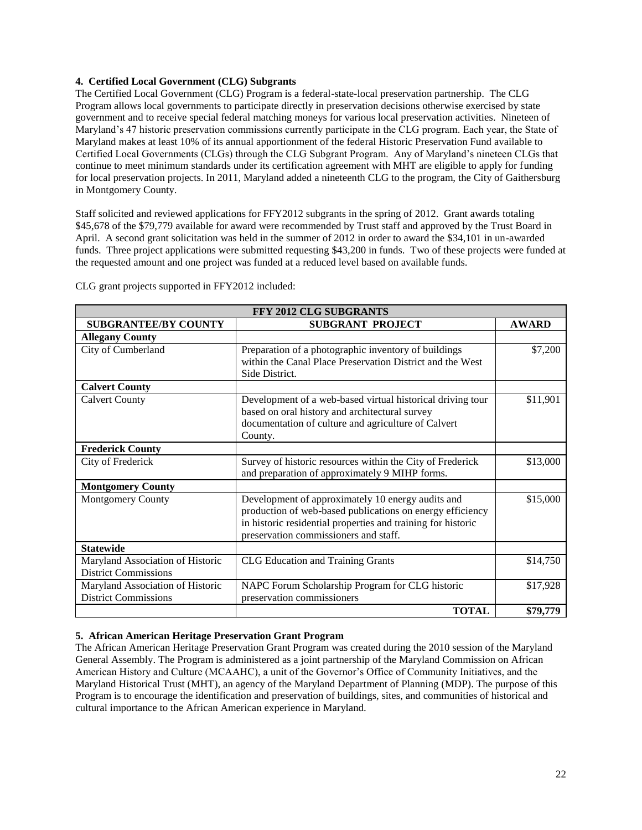## **4. Certified Local Government (CLG) Subgrants**

The Certified Local Government (CLG) Program is a federal-state-local preservation partnership. The CLG Program allows local governments to participate directly in preservation decisions otherwise exercised by state government and to receive special federal matching moneys for various local preservation activities. Nineteen of Maryland's 47 historic preservation commissions currently participate in the CLG program. Each year, the State of Maryland makes at least 10% of its annual apportionment of the federal Historic Preservation Fund available to Certified Local Governments (CLGs) through the CLG Subgrant Program. Any of Maryland's nineteen CLGs that continue to meet minimum standards under its certification agreement with MHT are eligible to apply for funding for local preservation projects. In 2011, Maryland added a nineteenth CLG to the program, the City of Gaithersburg in Montgomery County.

Staff solicited and reviewed applications for FFY2012 subgrants in the spring of 2012. Grant awards totaling \$45,678 of the \$79,779 available for award were recommended by Trust staff and approved by the Trust Board in April. A second grant solicitation was held in the summer of 2012 in order to award the \$34,101 in un-awarded funds. Three project applications were submitted requesting \$43,200 in funds. Two of these projects were funded at the requested amount and one project was funded at a reduced level based on available funds.

| <b>FFY 2012 CLG SUBGRANTS</b>                                   |                                                                                                                                                                                                                         |              |  |  |  |
|-----------------------------------------------------------------|-------------------------------------------------------------------------------------------------------------------------------------------------------------------------------------------------------------------------|--------------|--|--|--|
| <b>SUBGRANTEE/BY COUNTY</b>                                     | <b>SUBGRANT PROJECT</b>                                                                                                                                                                                                 | <b>AWARD</b> |  |  |  |
| <b>Allegany County</b>                                          |                                                                                                                                                                                                                         |              |  |  |  |
| City of Cumberland                                              | Preparation of a photographic inventory of buildings<br>within the Canal Place Preservation District and the West<br>Side District.                                                                                     | \$7,200      |  |  |  |
| <b>Calvert County</b>                                           |                                                                                                                                                                                                                         |              |  |  |  |
| <b>Calvert County</b>                                           | Development of a web-based virtual historical driving tour<br>based on oral history and architectural survey<br>documentation of culture and agriculture of Calvert<br>County.                                          | \$11,901     |  |  |  |
| <b>Frederick County</b>                                         |                                                                                                                                                                                                                         |              |  |  |  |
| City of Frederick                                               | Survey of historic resources within the City of Frederick<br>and preparation of approximately 9 MIHP forms.                                                                                                             | \$13,000     |  |  |  |
| <b>Montgomery County</b>                                        |                                                                                                                                                                                                                         |              |  |  |  |
| Montgomery County                                               | Development of approximately 10 energy audits and<br>production of web-based publications on energy efficiency<br>in historic residential properties and training for historic<br>preservation commissioners and staff. | \$15,000     |  |  |  |
| <b>Statewide</b>                                                |                                                                                                                                                                                                                         |              |  |  |  |
| Maryland Association of Historic<br><b>District Commissions</b> | <b>CLG</b> Education and Training Grants                                                                                                                                                                                | \$14,750     |  |  |  |
| Maryland Association of Historic<br><b>District Commissions</b> | NAPC Forum Scholarship Program for CLG historic<br>preservation commissioners                                                                                                                                           | \$17,928     |  |  |  |
|                                                                 | <b>TOTAL</b>                                                                                                                                                                                                            | \$79,779     |  |  |  |

CLG grant projects supported in FFY2012 included:

## **5. African American Heritage Preservation Grant Program**

The African American Heritage Preservation Grant Program was created during the 2010 session of the Maryland General Assembly. The Program is administered as a joint partnership of the Maryland Commission on African American History and Culture (MCAAHC), a unit of the Governor's Office of Community Initiatives, and the Maryland Historical Trust (MHT), an agency of the Maryland Department of Planning (MDP). The purpose of this Program is to encourage the identification and preservation of buildings, sites, and communities of historical and cultural importance to the African American experience in Maryland.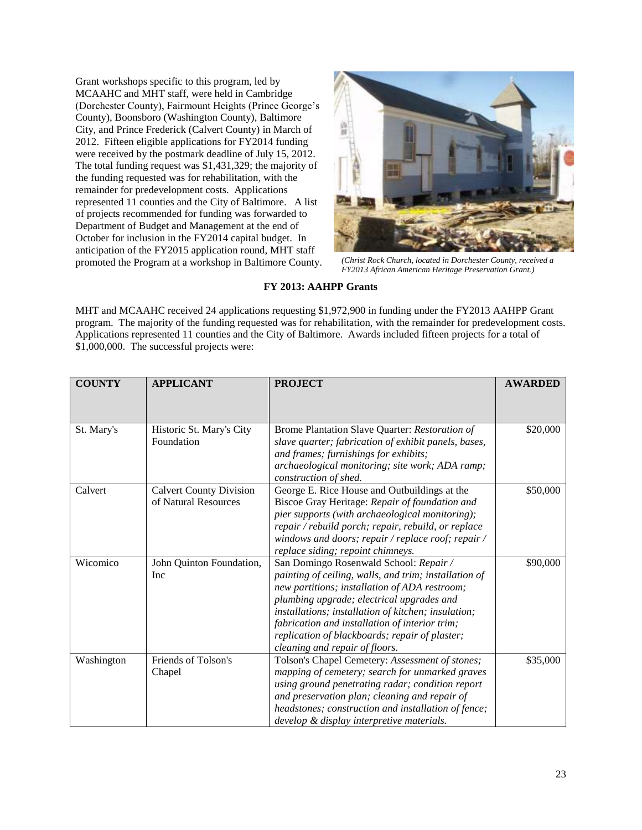Grant workshops specific to this program, led by MCAAHC and MHT staff, were held in Cambridge (Dorchester County), Fairmount Heights (Prince George's County), Boonsboro (Washington County), Baltimore City, and Prince Frederick (Calvert County) in March of 2012. Fifteen eligible applications for FY2014 funding were received by the postmark deadline of July 15, 2012. The total funding request was \$1,431,329; the majority of the funding requested was for rehabilitation, with the remainder for predevelopment costs. Applications represented 11 counties and the City of Baltimore. A list of projects recommended for funding was forwarded to Department of Budget and Management at the end of October for inclusion in the FY2014 capital budget. In anticipation of the FY2015 application round, MHT staff promoted the Program at a workshop in Baltimore County.



*(Christ Rock Church, located in Dorchester County, received a FY2013 African American Heritage Preservation Grant.)*

## **FY 2013: AAHPP Grants**

MHT and MCAAHC received 24 applications requesting \$1,972,900 in funding under the FY2013 AAHPP Grant program. The majority of the funding requested was for rehabilitation, with the remainder for predevelopment costs. Applications represented 11 counties and the City of Baltimore. Awards included fifteen projects for a total of \$1,000,000. The successful projects were:

| <b>COUNTY</b> | <b>APPLICANT</b>               | <b>PROJECT</b>                                        | <b>AWARDED</b> |
|---------------|--------------------------------|-------------------------------------------------------|----------------|
|               |                                |                                                       |                |
|               |                                |                                                       |                |
| St. Mary's    | Historic St. Mary's City       | Brome Plantation Slave Quarter: Restoration of        | \$20,000       |
|               | Foundation                     | slave quarter; fabrication of exhibit panels, bases,  |                |
|               |                                | and frames; furnishings for exhibits;                 |                |
|               |                                | archaeological monitoring; site work; ADA ramp;       |                |
|               |                                | construction of shed.                                 |                |
| Calvert       | <b>Calvert County Division</b> | George E. Rice House and Outbuildings at the          | \$50,000       |
|               | of Natural Resources           | Biscoe Gray Heritage: Repair of foundation and        |                |
|               |                                | pier supports (with archaeological monitoring);       |                |
|               |                                | repair / rebuild porch; repair, rebuild, or replace   |                |
|               |                                | windows and doors; repair / replace roof; repair /    |                |
|               |                                | replace siding; repoint chimneys.                     |                |
| Wicomico      | John Quinton Foundation,       | San Domingo Rosenwald School: Repair /                | \$90,000       |
|               | Inc                            | painting of ceiling, walls, and trim; installation of |                |
|               |                                | new partitions; installation of ADA restroom;         |                |
|               |                                | plumbing upgrade; electrical upgrades and             |                |
|               |                                | installations; installation of kitchen; insulation;   |                |
|               |                                | fabrication and installation of interior trim;        |                |
|               |                                | replication of blackboards; repair of plaster;        |                |
|               |                                | cleaning and repair of floors.                        |                |
| Washington    | Friends of Tolson's            | Tolson's Chapel Cemetery: Assessment of stones;       | \$35,000       |
|               | Chapel                         | mapping of cemetery; search for unmarked graves       |                |
|               |                                | using ground penetrating radar; condition report      |                |
|               |                                | and preservation plan; cleaning and repair of         |                |
|               |                                | headstones; construction and installation of fence;   |                |
|               |                                | develop & display interpretive materials.             |                |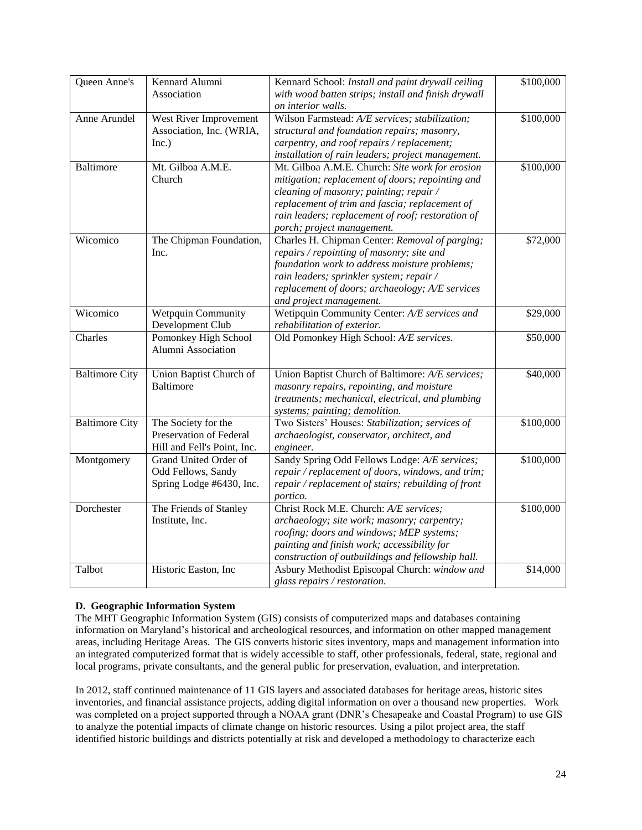| Queen Anne's          | Kennard Alumni              | Kennard School: Install and paint drywall ceiling   | \$100,000 |
|-----------------------|-----------------------------|-----------------------------------------------------|-----------|
|                       | Association                 | with wood batten strips; install and finish drywall |           |
|                       |                             | on interior walls.                                  |           |
|                       |                             |                                                     |           |
| Anne Arundel          | West River Improvement      | Wilson Farmstead: A/E services; stabilization;      | \$100,000 |
|                       | Association, Inc. (WRIA,    | structural and foundation repairs; masonry,         |           |
|                       | Inc.)                       | carpentry, and roof repairs / replacement;          |           |
|                       |                             | installation of rain leaders; project management.   |           |
| <b>Baltimore</b>      | Mt. Gilboa A.M.E.           | Mt. Gilboa A.M.E. Church: Site work for erosion     | \$100,000 |
|                       | Church                      | mitigation; replacement of doors; repointing and    |           |
|                       |                             | cleaning of masonry; painting; repair /             |           |
|                       |                             | replacement of trim and fascia; replacement of      |           |
|                       |                             | rain leaders; replacement of roof; restoration of   |           |
|                       |                             | porch; project management.                          |           |
| Wicomico              | The Chipman Foundation,     | Charles H. Chipman Center: Removal of parging;      | \$72,000  |
|                       | Inc.                        | repairs / repointing of masonry; site and           |           |
|                       |                             | foundation work to address moisture problems;       |           |
|                       |                             | rain leaders; sprinkler system; repair /            |           |
|                       |                             | replacement of doors; archaeology; A/E services     |           |
|                       |                             |                                                     |           |
|                       |                             | and project management.                             |           |
| Wicomico              | Wetpquin Community          | Wetipquin Community Center: A/E services and        | \$29,000  |
|                       | Development Club            | rehabilitation of exterior.                         |           |
| Charles               | Pomonkey High School        | Old Pomonkey High School: A/E services.             | \$50,000  |
|                       | Alumni Association          |                                                     |           |
|                       |                             |                                                     |           |
| <b>Baltimore City</b> | Union Baptist Church of     | Union Baptist Church of Baltimore: A/E services;    | \$40,000  |
|                       | <b>Baltimore</b>            | masonry repairs, repointing, and moisture           |           |
|                       |                             | treatments; mechanical, electrical, and plumbing    |           |
|                       |                             | systems; painting; demolition.                      |           |
| <b>Baltimore City</b> | The Society for the         | Two Sisters' Houses: Stabilization; services of     | \$100,000 |
|                       | Preservation of Federal     | archaeologist, conservator, architect, and          |           |
|                       | Hill and Fell's Point, Inc. | engineer.                                           |           |
| Montgomery            | Grand United Order of       | Sandy Spring Odd Fellows Lodge: A/E services;       | \$100,000 |
|                       | Odd Fellows, Sandy          | repair / replacement of doors, windows, and trim;   |           |
|                       | Spring Lodge #6430, Inc.    | repair / replacement of stairs; rebuilding of front |           |
|                       |                             | portico.                                            |           |
| Dorchester            | The Friends of Stanley      | Christ Rock M.E. Church: A/E services;              | \$100,000 |
|                       | Institute, Inc.             | archaeology; site work; masonry; carpentry;         |           |
|                       |                             |                                                     |           |
|                       |                             | roofing; doors and windows; MEP systems;            |           |
|                       |                             | painting and finish work; accessibility for         |           |
|                       |                             | construction of outbuildings and fellowship hall.   |           |
| Talbot                | Historic Easton, Inc        | Asbury Methodist Episcopal Church: window and       | \$14,000  |
|                       |                             | glass repairs / restoration.                        |           |

## **D. Geographic Information System**

The MHT Geographic Information System (GIS) consists of computerized maps and databases containing information on Maryland's historical and archeological resources, and information on other mapped management areas, including Heritage Areas. The GIS converts historic sites inventory, maps and management information into an integrated computerized format that is widely accessible to staff, other professionals, federal, state, regional and local programs, private consultants, and the general public for preservation, evaluation, and interpretation.

In 2012, staff continued maintenance of 11 GIS layers and associated databases for heritage areas, historic sites inventories, and financial assistance projects, adding digital information on over a thousand new properties. Work was completed on a project supported through a NOAA grant (DNR's Chesapeake and Coastal Program) to use GIS to analyze the potential impacts of climate change on historic resources. Using a pilot project area, the staff identified historic buildings and districts potentially at risk and developed a methodology to characterize each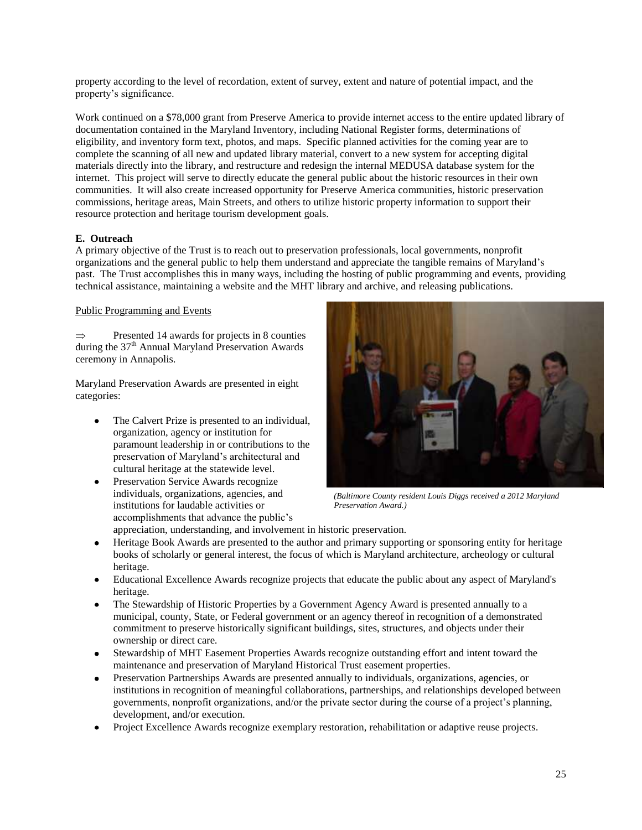property according to the level of recordation, extent of survey, extent and nature of potential impact, and the property's significance.

Work continued on a \$78,000 grant from Preserve America to provide internet access to the entire updated library of documentation contained in the Maryland Inventory, including National Register forms, determinations of eligibility, and inventory form text, photos, and maps. Specific planned activities for the coming year are to complete the scanning of all new and updated library material, convert to a new system for accepting digital materials directly into the library, and restructure and redesign the internal MEDUSA database system for the internet. This project will serve to directly educate the general public about the historic resources in their own communities. It will also create increased opportunity for Preserve America communities, historic preservation commissions, heritage areas, Main Streets, and others to utilize historic property information to support their resource protection and heritage tourism development goals.

## **E. Outreach**

A primary objective of the Trust is to reach out to preservation professionals, local governments, nonprofit organizations and the general public to help them understand and appreciate the tangible remains of Maryland's past. The Trust accomplishes this in many ways, including the hosting of public programming and events, providing technical assistance, maintaining a website and the MHT library and archive, and releasing publications.

## Public Programming and Events

Presented 14 awards for projects in 8 counties  $\Rightarrow$ during the 37<sup>th</sup> Annual Maryland Preservation Awards ceremony in Annapolis.

Maryland Preservation Awards are presented in eight categories:

- The Calvert Prize is presented to an individual, organization, agency or institution for paramount leadership in or contributions to the preservation of Maryland's architectural and cultural heritage at the statewide level.
- Preservation Service Awards recognize individuals, organizations, agencies, and institutions for laudable activities or accomplishments that advance the public's



*(Baltimore County resident Louis Diggs received a 2012 Maryland Preservation Award.)*

- appreciation, understanding, and involvement in historic preservation.
- Heritage Book Awards are presented to the author and primary supporting or sponsoring entity for heritage books of scholarly or general interest, the focus of which is Maryland architecture, archeology or cultural heritage.
- Educational Excellence Awards recognize projects that educate the public about any aspect of Maryland's heritage.
- The Stewardship of Historic Properties by a Government Agency Award is presented annually to a municipal, county, State, or Federal government or an agency thereof in recognition of a demonstrated commitment to preserve historically significant buildings, sites, structures, and objects under their ownership or direct care.
- Stewardship of MHT Easement Properties Awards recognize outstanding effort and intent toward the  $\bullet$ maintenance and preservation o[f Maryland](http://mht.maryland.gov/easement.html) [Historical Trust easement properties.](http://mht.maryland.gov/easement.html)
- Preservation Partnerships Awards are presented annually to individuals, organizations, agencies, or institutions in recognition of meaningful collaborations, partnerships, and relationships developed between governments, nonprofit organizations, and/or the private sector during the course of a project's planning, development, and/or execution.
- Project Excellence Awards recognize exemplary restoration, rehabilitation or adaptive reuse projects.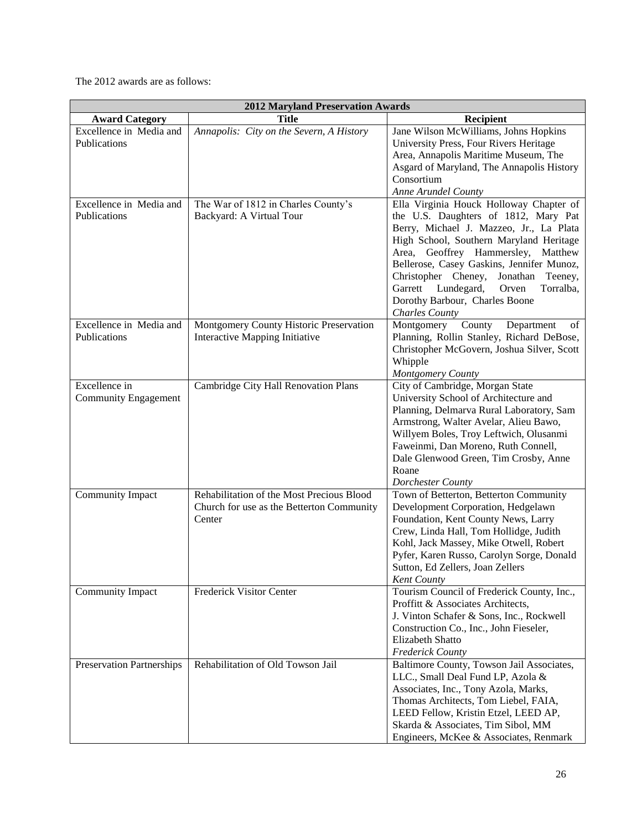The 2012 awards are as follows:

| <b>2012 Maryland Preservation Awards</b> |                                           |                                                                                   |  |  |  |  |
|------------------------------------------|-------------------------------------------|-----------------------------------------------------------------------------------|--|--|--|--|
| <b>Award Category</b>                    | <b>Title</b>                              | Recipient                                                                         |  |  |  |  |
| Excellence in Media and                  | Annapolis: City on the Severn, A History  | Jane Wilson McWilliams, Johns Hopkins                                             |  |  |  |  |
| Publications                             |                                           | University Press, Four Rivers Heritage                                            |  |  |  |  |
|                                          |                                           | Area, Annapolis Maritime Museum, The                                              |  |  |  |  |
|                                          |                                           | Asgard of Maryland, The Annapolis History                                         |  |  |  |  |
|                                          |                                           | Consortium                                                                        |  |  |  |  |
|                                          |                                           | Anne Arundel County                                                               |  |  |  |  |
| Excellence in Media and                  | The War of 1812 in Charles County's       | Ella Virginia Houck Holloway Chapter of                                           |  |  |  |  |
| Publications                             | Backyard: A Virtual Tour                  | the U.S. Daughters of 1812, Mary Pat                                              |  |  |  |  |
|                                          |                                           | Berry, Michael J. Mazzeo, Jr., La Plata                                           |  |  |  |  |
|                                          |                                           | High School, Southern Maryland Heritage                                           |  |  |  |  |
|                                          |                                           | Area, Geoffrey Hammersley, Matthew                                                |  |  |  |  |
|                                          |                                           | Bellerose, Casey Gaskins, Jennifer Munoz,                                         |  |  |  |  |
|                                          |                                           | Christopher Cheney,<br>Jonathan<br>Teeney,                                        |  |  |  |  |
|                                          |                                           | Garrett<br>Lundegard,<br>Orven<br>Torralba,                                       |  |  |  |  |
|                                          |                                           | Dorothy Barbour, Charles Boone                                                    |  |  |  |  |
|                                          |                                           | <b>Charles County</b>                                                             |  |  |  |  |
| Excellence in Media and                  | Montgomery County Historic Preservation   | Montgomery County<br>Department<br>of                                             |  |  |  |  |
| Publications                             | Interactive Mapping Initiative            | Planning, Rollin Stanley, Richard DeBose,                                         |  |  |  |  |
|                                          |                                           | Christopher McGovern, Joshua Silver, Scott                                        |  |  |  |  |
|                                          |                                           | Whipple                                                                           |  |  |  |  |
|                                          |                                           | Montgomery County                                                                 |  |  |  |  |
| Excellence in                            | Cambridge City Hall Renovation Plans      | City of Cambridge, Morgan State                                                   |  |  |  |  |
| <b>Community Engagement</b>              |                                           | University School of Architecture and<br>Planning, Delmarva Rural Laboratory, Sam |  |  |  |  |
|                                          |                                           | Armstrong, Walter Avelar, Alieu Bawo,                                             |  |  |  |  |
|                                          |                                           | Willyem Boles, Troy Leftwich, Olusanmi                                            |  |  |  |  |
|                                          |                                           | Faweinmi, Dan Moreno, Ruth Connell,                                               |  |  |  |  |
|                                          |                                           | Dale Glenwood Green, Tim Crosby, Anne                                             |  |  |  |  |
|                                          |                                           | Roane                                                                             |  |  |  |  |
|                                          |                                           | Dorchester County                                                                 |  |  |  |  |
| Community Impact                         | Rehabilitation of the Most Precious Blood | Town of Betterton, Betterton Community                                            |  |  |  |  |
|                                          | Church for use as the Betterton Community | Development Corporation, Hedgelawn                                                |  |  |  |  |
|                                          | Center                                    | Foundation, Kent County News, Larry                                               |  |  |  |  |
|                                          |                                           | Crew, Linda Hall, Tom Hollidge, Judith                                            |  |  |  |  |
|                                          |                                           | Kohl, Jack Massey, Mike Otwell, Robert                                            |  |  |  |  |
|                                          |                                           | Pyfer, Karen Russo, Carolyn Sorge, Donald                                         |  |  |  |  |
|                                          |                                           | Sutton, Ed Zellers, Joan Zellers                                                  |  |  |  |  |
|                                          |                                           | <b>Kent County</b>                                                                |  |  |  |  |
| <b>Community Impact</b>                  | Frederick Visitor Center                  | Tourism Council of Frederick County, Inc.,                                        |  |  |  |  |
|                                          |                                           | Proffitt & Associates Architects,                                                 |  |  |  |  |
|                                          |                                           | J. Vinton Schafer & Sons, Inc., Rockwell                                          |  |  |  |  |
|                                          |                                           | Construction Co., Inc., John Fieseler,                                            |  |  |  |  |
|                                          |                                           | <b>Elizabeth Shatto</b>                                                           |  |  |  |  |
|                                          |                                           | <b>Frederick County</b>                                                           |  |  |  |  |
| <b>Preservation Partnerships</b>         | Rehabilitation of Old Towson Jail         | Baltimore County, Towson Jail Associates,                                         |  |  |  |  |
|                                          |                                           | LLC., Small Deal Fund LP, Azola &                                                 |  |  |  |  |
|                                          |                                           | Associates, Inc., Tony Azola, Marks,                                              |  |  |  |  |
|                                          |                                           | Thomas Architects, Tom Liebel, FAIA,                                              |  |  |  |  |
|                                          |                                           | LEED Fellow, Kristin Etzel, LEED AP,                                              |  |  |  |  |
|                                          |                                           | Skarda & Associates, Tim Sibol, MM                                                |  |  |  |  |
|                                          |                                           | Engineers, McKee & Associates, Renmark                                            |  |  |  |  |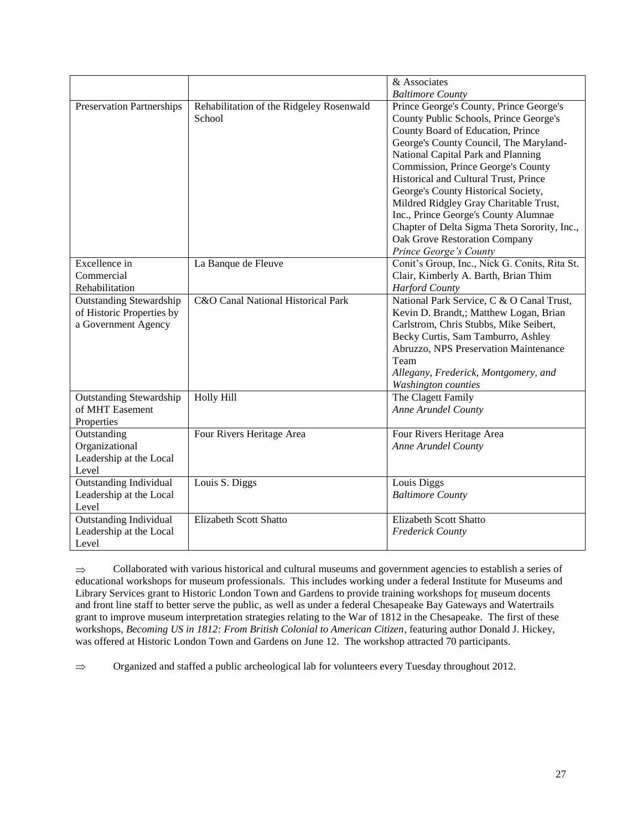|                                  |                                          | & Associates                                  |
|----------------------------------|------------------------------------------|-----------------------------------------------|
|                                  |                                          | <b>Baltimore County</b>                       |
| <b>Preservation Partnerships</b> | Rehabilitation of the Ridgeley Rosenwald | Prince George's County, Prince George's       |
|                                  | School                                   | County Public Schools, Prince George's        |
|                                  |                                          | County Board of Education, Prince             |
|                                  |                                          | George's County Council, The Maryland-        |
|                                  |                                          | National Capital Park and Planning            |
|                                  |                                          | Commission, Prince George's County            |
|                                  |                                          | Historical and Cultural Trust, Prince         |
|                                  |                                          | George's County Historical Society,           |
|                                  |                                          | Mildred Ridgley Gray Charitable Trust,        |
|                                  |                                          | Inc., Prince George's County Alumnae          |
|                                  |                                          | Chapter of Delta Sigma Theta Sorority, Inc.,  |
|                                  |                                          | Oak Grove Restoration Company                 |
|                                  |                                          | Prince George's County                        |
| Excellence in                    | La Banque de Fleuve                      | Conit's Group, Inc., Nick G. Conits, Rita St. |
| Commercial                       |                                          | Clair, Kimberly A. Barth, Brian Thim          |
| Rehabilitation                   |                                          | <b>Harford County</b>                         |
| <b>Outstanding Stewardship</b>   | C&O Canal National Historical Park       | National Park Service, C & O Canal Trust,     |
| of Historic Properties by        |                                          | Kevin D. Brandt,; Matthew Logan, Brian        |
| a Government Agency              |                                          | Carlstrom, Chris Stubbs, Mike Seibert,        |
|                                  |                                          | Becky Curtis, Sam Tamburro, Ashley            |
|                                  |                                          | Abruzzo, NPS Preservation Maintenance         |
|                                  |                                          | Team                                          |
|                                  |                                          | Allegany, Frederick, Montgomery, and          |
|                                  |                                          | <b>Washington</b> counties                    |
| <b>Outstanding Stewardship</b>   | Holly Hill                               | The Clagett Family                            |
| of MHT Easement                  |                                          | Anne Arundel County                           |
| Properties                       |                                          |                                               |
| Outstanding                      | Four Rivers Heritage Area                | Four Rivers Heritage Area                     |
| Organizational                   |                                          | Anne Arundel County                           |
| Leadership at the Local          |                                          |                                               |
| Level                            |                                          |                                               |
| <b>Outstanding Individual</b>    | Louis S. Diggs                           | Louis Diggs                                   |
| Leadership at the Local          |                                          | <b>Baltimore County</b>                       |
| Level                            |                                          |                                               |
| <b>Outstanding Individual</b>    | <b>Elizabeth Scott Shatto</b>            | <b>Elizabeth Scott Shatto</b>                 |
| Leadership at the Local          |                                          | <b>Frederick County</b>                       |
| Level                            |                                          |                                               |

Collaborated with various historical and cultural museums and government agencies to establish a series of  $\Rightarrow$ educational workshops for museum professionals. This includes working under a federal Institute for Museums and Library Services grant to Historic London Town and Gardens to provide training workshops for museum docents and front line staff to better serve the public, as well as under a federal Chesapeake Bay Gateways and Watertrails grant to improve museum interpretation strategies relating to the War of 1812 in the Chesapeake. The first of these workshops, *Becoming US in 1812: From British Colonial to American Citizen*, featuring author Donald J. Hickey, was offered at Historic London Town and Gardens on June 12. The workshop attracted 70 participants.

Organized and staffed a public archeological lab for volunteers every Tuesday throughout 2012. $\Rightarrow$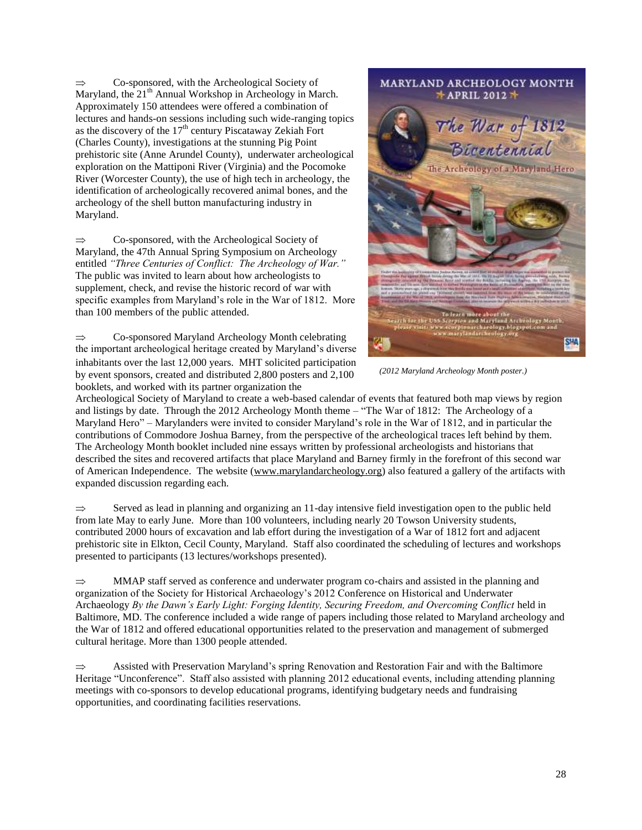Co-sponsored, with the Archeological Society of  $\Rightarrow$ Maryland, the  $21<sup>th</sup>$  Annual Workshop in Archeology in March. Approximately 150 attendees were offered a combination of lectures and hands-on sessions including such wide-ranging topics as the discovery of the  $17<sup>th</sup>$  century Piscataway Zekiah Fort (Charles County), investigations at the stunning Pig Point prehistoric site (Anne Arundel County), underwater archeological exploration on the Mattiponi River (Virginia) and the Pocomoke River (Worcester County), the use of high tech in archeology, the identification of archeologically recovered animal bones, and the archeology of the shell button manufacturing industry in Maryland.

 $\Rightarrow$ Co-sponsored, with the Archeological Society of Maryland, the 47th Annual Spring Symposium on Archeology entitled *"Three Centuries of Conflict: The Archeology of War."* The public was invited to learn about how archeologists to supplement, check, and revise the historic record of war with specific examples from Maryland's role in the War of 1812. More than 100 members of the public attended.

Co-sponsored Maryland Archeology Month celebrating  $\Rightarrow$ the important archeological heritage created by Maryland's diverse inhabitants over the last 12,000 years. MHT solicited participation by event sponsors, created and distributed 2,800 posters and 2,100 booklets, and worked with its partner organization the



*(2012 Maryland Archeology Month poster.)*

Archeological Society of Maryland to create a web-based calendar of events that featured both map views by region and listings by date. Through the 2012 Archeology Month theme – "The War of 1812: The Archeology of a Maryland Hero" – Marylanders were invited to consider Maryland's role in the War of 1812, and in particular the contributions of Commodore Joshua Barney, from the perspective of the archeological traces left behind by them. The Archeology Month booklet included nine essays written by professional archeologists and historians that described the sites and recovered artifacts that place Maryland and Barney firmly in the forefront of this second war of American Independence. The website [\(www.marylandarcheology.org\)](http://www.marylandarcheology.org/) also featured a gallery of the artifacts with expanded discussion regarding each.

Served as lead in planning and organizing an 11-day intensive field investigation open to the public held  $\Rightarrow$ from late May to early June. More than 100 volunteers, including nearly 20 Towson University students, contributed 2000 hours of excavation and lab effort during the investigation of a War of 1812 fort and adjacent prehistoric site in Elkton, Cecil County, Maryland. Staff also coordinated the scheduling of lectures and workshops presented to participants (13 lectures/workshops presented).

MMAP staff served as conference and underwater program co-chairs and assisted in the planning and  $\Rightarrow$ organization of the Society for Historical Archaeology's 2012 Conference on Historical and Underwater Archaeology *By the Dawn's Early Light: Forging Identity, Securing Freedom, and Overcoming Conflict* held in Baltimore, MD. The conference included a wide range of papers including those related to Maryland archeology and the War of 1812 and offered educational opportunities related to the preservation and management of submerged cultural heritage. More than 1300 people attended.

 $\Rightarrow$ Assisted with Preservation Maryland's spring Renovation and Restoration Fair and with the Baltimore Heritage "Unconference". Staff also assisted with planning 2012 educational events, including attending planning meetings with co-sponsors to develop educational programs, identifying budgetary needs and fundraising opportunities, and coordinating facilities reservations.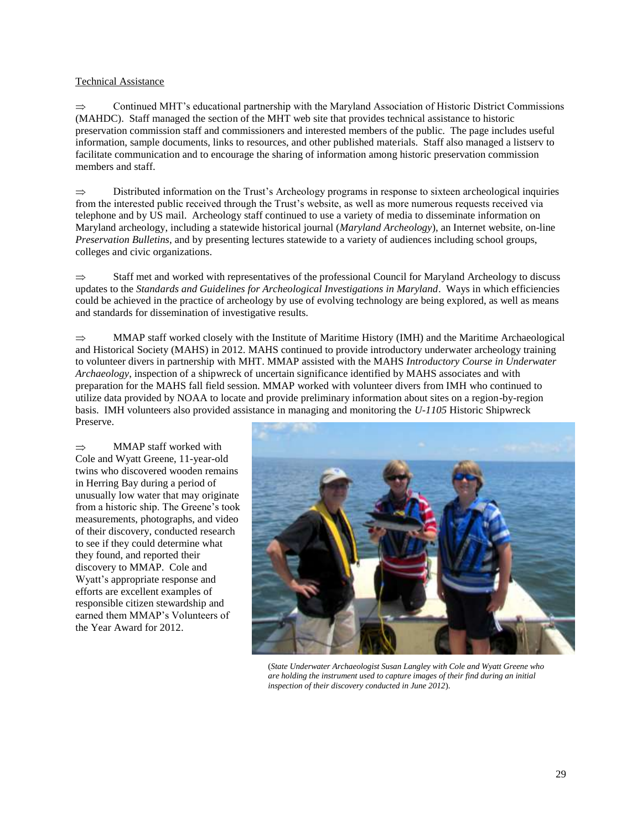#### Technical Assistance

Continued MHT's educational partnership with the Maryland Association of Historic District Commissions  $\Rightarrow$ (MAHDC). Staff managed the section of the MHT web site that provides technical assistance to historic preservation commission staff and commissioners and interested members of the public. The page includes useful information, sample documents, links to resources, and other published materials. Staff also managed a listserv to facilitate communication and to encourage the sharing of information among historic preservation commission members and staff.

 $\Rightarrow$ Distributed information on the Trust's Archeology programs in response to sixteen archeological inquiries from the interested public received through the Trust's website, as well as more numerous requests received via telephone and by US mail. Archeology staff continued to use a variety of media to disseminate information on Maryland archeology, including a statewide historical journal (*Maryland Archeology*), an Internet website, on-line *Preservation Bulletins*, and by presenting lectures statewide to a variety of audiences including school groups, colleges and civic organizations.

Staff met and worked with representatives of the professional Council for Maryland Archeology to discuss  $\Rightarrow$ updates to the *Standards and Guidelines for Archeological Investigations in Maryland*. Ways in which efficiencies could be achieved in the practice of archeology by use of evolving technology are being explored, as well as means and standards for dissemination of investigative results.

 $\Rightarrow$ MMAP staff worked closely with the Institute of Maritime History (IMH) and the Maritime Archaeological and Historical Society (MAHS) in 2012. MAHS continued to provide introductory underwater archeology training to volunteer divers in partnership with MHT. MMAP assisted with the MAHS *Introductory Course in Underwater Archaeology*, inspection of a shipwreck of uncertain significance identified by MAHS associates and with preparation for the MAHS fall field session. MMAP worked with volunteer divers from IMH who continued to utilize data provided by NOAA to locate and provide preliminary information about sites on a region-by-region basis. IMH volunteers also provided assistance in managing and monitoring the *U-1105* Historic Shipwreck Preserve.

 $\Rightarrow$ MMAP staff worked with Cole and Wyatt Greene, 11-year-old twins who discovered wooden remains in Herring Bay during a period of unusually low water that may originate from a historic ship. The Greene's took measurements, photographs, and video of their discovery, conducted research to see if they could determine what they found, and reported their discovery to MMAP. Cole and Wyatt's appropriate response and efforts are excellent examples of responsible citizen stewardship and earned them MMAP's Volunteers of the Year Award for 2012.



(*State Underwater Archaeologist Susan Langley with Cole and Wyatt Greene who are holding the instrument used to capture images of their find during an initial inspection of their discovery conducted in June 2012*).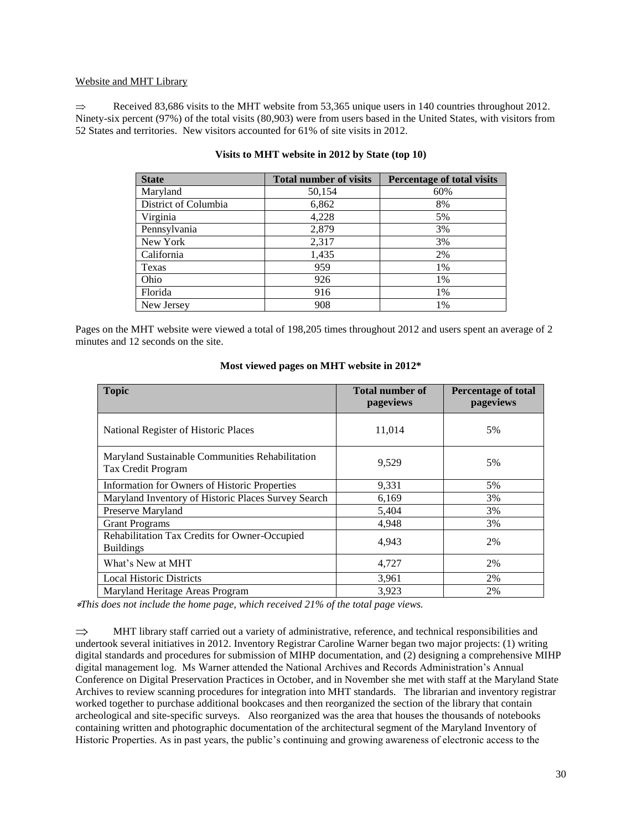#### Website and MHT Library

Received 83,686 visits to the MHT website from 53,365 unique users in 140 countries throughout 2012.  $\Rightarrow$ Ninety-six percent (97%) of the total visits (80,903) were from users based in the United States, with visitors from 52 States and territories. New visitors accounted for 61% of site visits in 2012.

| <b>State</b>         | <b>Total number of visits</b> | Percentage of total visits |  |
|----------------------|-------------------------------|----------------------------|--|
| Maryland             | 50,154                        | 60%                        |  |
| District of Columbia | 6,862                         | 8%                         |  |
| Virginia             | 4,228                         | 5%                         |  |
| Pennsylvania         | 2,879                         | 3%                         |  |
| New York             | 2,317                         | 3%                         |  |
| California           | 1,435                         | 2%                         |  |
| Texas                | 959                           | 1%                         |  |
| Ohio                 | 926                           | 1%                         |  |
| Florida              | 916                           | 1%                         |  |
| New Jersey           | 908                           | 1%                         |  |

#### **Visits to MHT website in 2012 by State (top 10)**

Pages on the MHT website were viewed a total of 198,205 times throughout 2012 and users spent an average of 2 minutes and 12 seconds on the site.

| <b>Topic</b>                                                          | <b>Total number of</b><br>pageviews | <b>Percentage of total</b><br>pageviews |
|-----------------------------------------------------------------------|-------------------------------------|-----------------------------------------|
| National Register of Historic Places                                  | 11,014                              | 5%                                      |
| Maryland Sustainable Communities Rehabilitation<br>Tax Credit Program | 9,529                               | 5%                                      |
| Information for Owners of Historic Properties                         | 9,331                               | 5%                                      |
| Maryland Inventory of Historic Places Survey Search                   | 6,169                               | 3%                                      |
| Preserve Maryland                                                     | 5,404                               | 3%                                      |
| <b>Grant Programs</b>                                                 | 4,948                               | 3%                                      |
| Rehabilitation Tax Credits for Owner-Occupied<br><b>Buildings</b>     | 4,943                               | 2%                                      |
| What's New at MHT                                                     | 4,727                               | 2%                                      |
| <b>Local Historic Districts</b>                                       | 3,961                               | 2%                                      |
| Maryland Heritage Areas Program                                       | 3,923                               | 2%                                      |

#### **Most viewed pages on MHT website in 2012\***

*This does not include the home page, which received 21% of the total page views.*

 $\Rightarrow$ MHT library staff carried out a variety of administrative, reference, and technical responsibilities and undertook several initiatives in 2012. Inventory Registrar Caroline Warner began two major projects: (1) writing digital standards and procedures for submission of MIHP documentation, and (2) designing a comprehensive MIHP digital management log. Ms Warner attended the National Archives and Records Administration's Annual Conference on Digital Preservation Practices in October, and in November she met with staff at the Maryland State Archives to review scanning procedures for integration into MHT standards. The librarian and inventory registrar worked together to purchase additional bookcases and then reorganized the section of the library that contain archeological and site-specific surveys. Also reorganized was the area that houses the thousands of notebooks containing written and photographic documentation of the architectural segment of the Maryland Inventory of Historic Properties. As in past years, the public's continuing and growing awareness of electronic access to the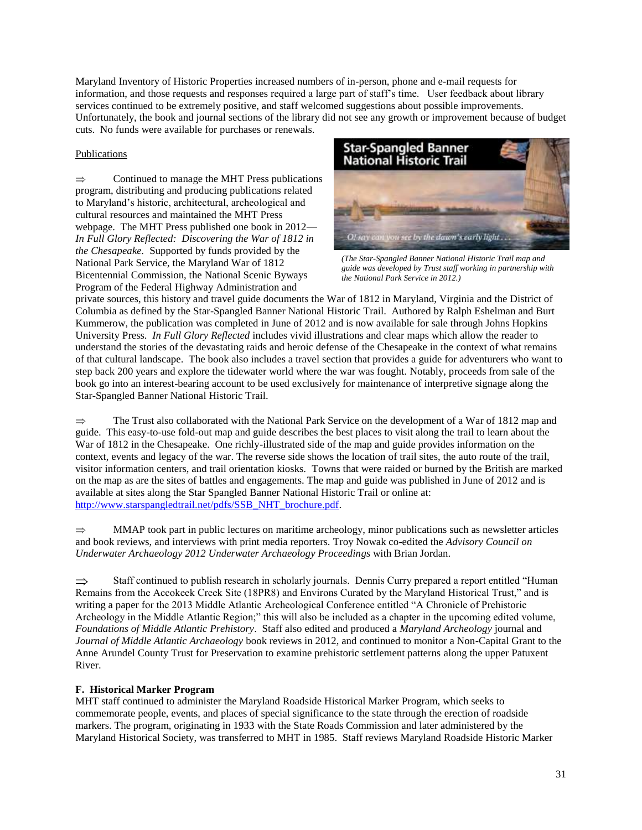Maryland Inventory of Historic Properties increased numbers of in-person, phone and e-mail requests for information, and those requests and responses required a large part of staff's time. User feedback about library services continued to be extremely positive, and staff welcomed suggestions about possible improvements. Unfortunately, the book and journal sections of the library did not see any growth or improvement because of budget cuts. No funds were available for purchases or renewals.

## Publications

 $\Rightarrow$ Continued to manage the MHT Press publications program, distributing and producing publications related to Maryland's historic, architectural, archeological and cultural resources and maintained the MHT Press webpage. The MHT Press published one book in 2012— *In Full Glory Reflected: Discovering the War of 1812 in the Chesapeake.* Supported by funds provided by the National Park Service, the Maryland War of 1812 Bicentennial Commission, the National Scenic Byways Program of the Federal Highway Administration and



*(The Star-Spangled Banner National Historic Trail map and guide was developed by Trust staff working in partnership with the National Park Service in 2012.)*

private sources, this history and travel guide documents the War of 1812 in Maryland, Virginia and the District of Columbia as defined by the Star-Spangled Banner National Historic Trail. Authored by Ralph Eshelman and Burt Kummerow, the publication was completed in June of 2012 and is now available for sale through Johns Hopkins University Press. *In Full Glory Reflected* includes vivid illustrations and clear maps which allow the reader to understand the stories of the devastating raids and heroic defense of the Chesapeake in the context of what remains of that cultural landscape. The book also includes a travel section that provides a guide for adventurers who want to step back 200 years and explore the tidewater world where the war was fought. Notably, proceeds from sale of the book go into an interest-bearing account to be used exclusively for maintenance of interpretive signage along the Star-Spangled Banner National Historic Trail.

 $\Rightarrow$ The Trust also collaborated with the National Park Service on the development of a War of 1812 map and guide. This easy-to-use fold-out map and guide describes the best places to visit along the trail to learn about the War of 1812 in the Chesapeake. One richly-illustrated side of the map and guide provides information on the context, events and legacy of the war. The reverse side shows the location of trail sites, the auto route of the trail, visitor information centers, and trail orientation kiosks. Towns that were raided or burned by the British are marked on the map as are the sites of battles and engagements. The map and guide was published in June of 2012 and is available at sites along the Star Spangled Banner National Historic Trail or online at: [http://www.starspangledtrail.net/pdfs/SSB\\_NHT\\_brochure.pdf.](http://www.starspangledtrail.net/pdfs/SSB_NHT_brochure.pdf)

MMAP took part in public lectures on maritime archeology, minor publications such as newsletter articles  $\Rightarrow$ and book reviews, and interviews with print media reporters. Troy Nowak co-edited the *Advisory Council on Underwater Archaeology 2012 Underwater Archaeology Proceedings* with Brian Jordan.

 $\Rightarrow$ Staff continued to publish research in scholarly journals. Dennis Curry prepared a report entitled "Human Remains from the Accokeek Creek Site (18PR8) and Environs Curated by the Maryland Historical Trust," and is writing a paper for the 2013 Middle Atlantic Archeological Conference entitled "A Chronicle of Prehistoric Archeology in the Middle Atlantic Region;" this will also be included as a chapter in the upcoming edited volume, *Foundations of Middle Atlantic Prehistory*. Staff also edited and produced a *Maryland Archeology* journal and *Journal of Middle Atlantic Archaeology* book reviews in 2012, and continued to monitor a Non-Capital Grant to the Anne Arundel County Trust for Preservation to examine prehistoric settlement patterns along the upper Patuxent River.

## **F. Historical Marker Program**

MHT staff continued to administer the Maryland Roadside Historical Marker Program, which seeks to commemorate people, events, and places of special significance to the state through the erection of roadside markers. The program, originating in 1933 with the State Roads Commission and later administered by the Maryland Historical Society, was transferred to MHT in 1985. Staff reviews Maryland Roadside Historic Marker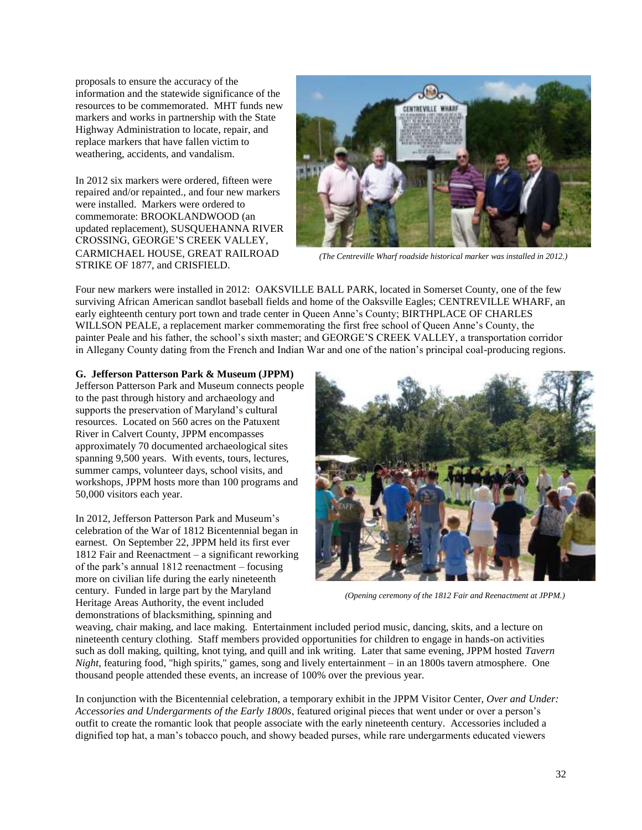proposals to ensure the accuracy of the information and the statewide significance of the resources to be commemorated. MHT funds new markers and works in partnership with the State Highway Administration to locate, repair, and replace markers that have fallen victim to weathering, accidents, and vandalism.

In 2012 six markers were ordered, fifteen were repaired and/or repainted., and four new markers were installed. Markers were ordered to commemorate: BROOKLANDWOOD (an updated replacement), SUSQUEHANNA RIVER CROSSING, GEORGE'S CREEK VALLEY, CARMICHAEL HOUSE, GREAT RAILROAD STRIKE OF 1877, and CRISFIELD.



*(The Centreville Wharf roadside historical marker was installed in 2012.)*

Four new markers were installed in 2012: OAKSVILLE BALL PARK, located in Somerset County, one of the few surviving African American sandlot baseball fields and home of the Oaksville Eagles; CENTREVILLE WHARF, an early eighteenth century port town and trade center in Queen Anne's County; BIRTHPLACE OF CHARLES WILLSON PEALE, a replacement marker commemorating the first free school of Queen Anne's County, the painter Peale and his father, the school's sixth master; and GEORGE'S CREEK VALLEY, a transportation corridor in Allegany County dating from the French and Indian War and one of the nation's principal coal-producing regions.

**G. Jefferson Patterson Park & Museum (JPPM)**

Jefferson Patterson Park and Museum connects people to the past through history and archaeology and supports the preservation of Maryland's cultural resources. Located on 560 acres on the Patuxent River in Calvert County, JPPM encompasses approximately 70 documented archaeological sites spanning 9,500 years. With events, tours, lectures, summer camps, volunteer days, school visits, and workshops, JPPM hosts more than 100 programs and 50,000 visitors each year.

In 2012, Jefferson Patterson Park and Museum's celebration of the War of 1812 Bicentennial began in earnest. On September 22, JPPM held its first ever 1812 Fair and Reenactment – a significant reworking of the park's annual 1812 reenactment – focusing more on civilian life during the early nineteenth century. Funded in large part by the Maryland Heritage Areas Authority, the event included demonstrations of blacksmithing, spinning and



*(Opening ceremony of the 1812 Fair and Reenactment at JPPM.)*

weaving, chair making, and lace making. Entertainment included period music, dancing, skits, and a lecture on nineteenth century clothing. Staff members provided opportunities for children to engage in hands-on activities such as doll making, quilting, knot tying, and quill and ink writing. Later that same evening, JPPM hosted *Tavern Night*, featuring food, "high spirits," games, song and lively entertainment – in an 1800s tavern atmosphere. One thousand people attended these events, an increase of 100% over the previous year.

In conjunction with the Bicentennial celebration, a temporary exhibit in the JPPM Visitor Center, *Over and Under: Accessories and Undergarments of the Early 1800s*, featured original pieces that went under or over a person's outfit to create the romantic look that people associate with the early nineteenth century. Accessories included a dignified top hat, a man's tobacco pouch, and showy beaded purses, while rare undergarments educated viewers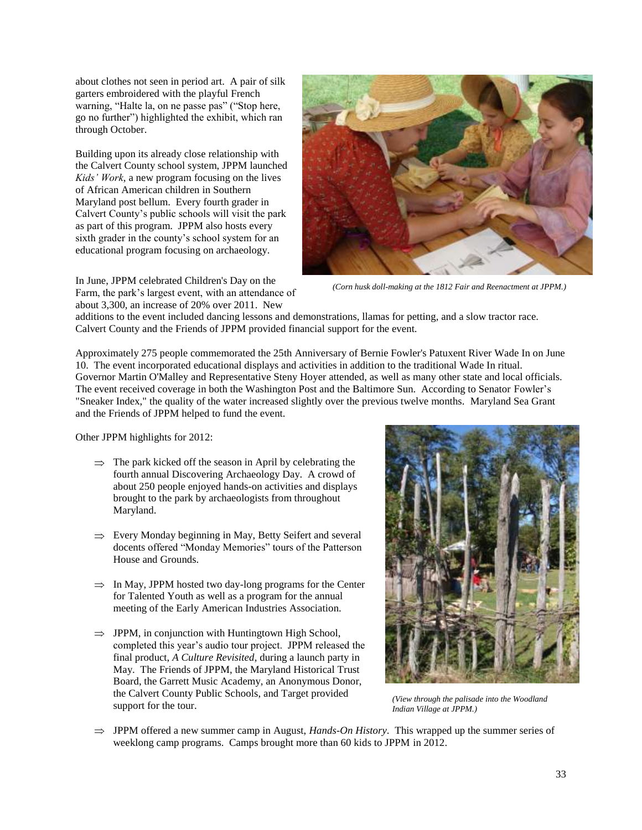about clothes not seen in period art. A pair of silk garters embroidered with the playful French warning, "Halte la, on ne passe pas" ("Stop here, go no further") highlighted the exhibit, which ran through October.

Building upon its already close relationship with the Calvert County school system, JPPM launched *Kids' Work*, a new program focusing on the lives of African American children in Southern Maryland post bellum. Every fourth grader in Calvert County's public schools will visit the park as part of this program. JPPM also hosts every sixth grader in the county's school system for an educational program focusing on archaeology.

In June, JPPM celebrated Children's Day on the Farm, the park's largest event, with an attendance of about 3,300, an increase of 20% over 2011. New



*(Corn husk doll-making at the 1812 Fair and Reenactment at JPPM.)*

additions to the event included dancing lessons and demonstrations, llamas for petting, and a slow tractor race. Calvert County and the Friends of JPPM provided financial support for the event.

Approximately 275 people commemorated the 25th Anniversary of Bernie Fowler's Patuxent River Wade In on June 10. The event incorporated educational displays and activities in addition to the traditional Wade In ritual. Governor Martin O'Malley and Representative Steny Hoyer attended, as well as many other state and local officials. The event received coverage in both the Washington Post and the Baltimore Sun. According to Senator Fowler's "Sneaker Index," the quality of the water increased slightly over the previous twelve months. Maryland Sea Grant and the Friends of JPPM helped to fund the event.

Other JPPM highlights for 2012:

- $\Rightarrow$  The park kicked off the season in April by celebrating the fourth annual Discovering Archaeology Day. A crowd of about 250 people enjoyed hands-on activities and displays brought to the park by archaeologists from throughout Maryland.
- $\Rightarrow$  Every Monday beginning in May, Betty Seifert and several docents offered "Monday Memories" tours of the Patterson House and Grounds.
- $\Rightarrow$  In May, JPPM hosted two day-long programs for the Center for Talented Youth as well as a program for the annual meeting of the Early American Industries Association.
- $\Rightarrow$  JPPM, in conjunction with Huntingtown High School, completed this year's audio tour project. JPPM released the final product, *A Culture Revisited*, during a launch party in May. The Friends of JPPM, the Maryland Historical Trust Board, the Garrett Music Academy, an Anonymous Donor, the Calvert County Public Schools, and Target provided support for the tour.



*(View through the palisade into the Woodland Indian Village at JPPM.)*

 $\Rightarrow$  JPPM offered a new summer camp in August, *Hands-On History*. This wrapped up the summer series of weeklong camp programs. Camps brought more than 60 kids to JPPM in 2012.